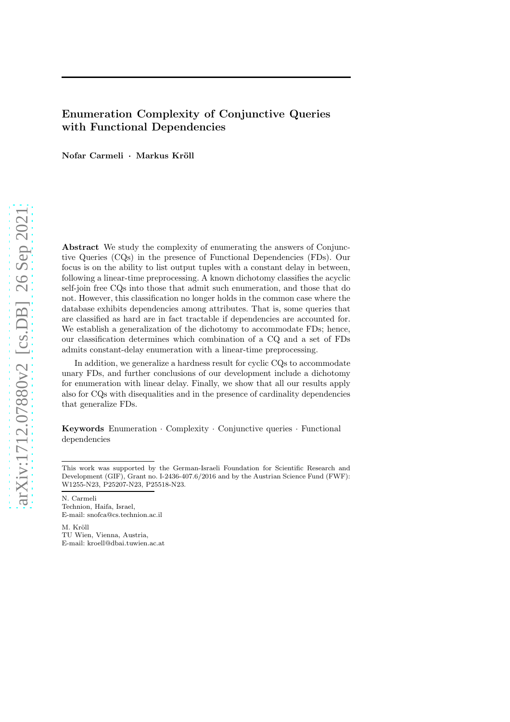# Enumeration Complexity of Conjunctive Queries with Functional Dependencies

Nofar Carmeli · Markus Kröll

Abstract We study the complexity of enumerating the answers of Conjunctive Queries (CQs) in the presence of Functional Dependencies (FDs). Our focus is on the ability to list output tuples with a constant delay in between, following a linear-time preprocessing. A known dichotomy classifies the acyclic self-join free CQs into those that admit such enumeration, and those that do not. However, this classification no longer holds in the common case where the database exhibits dependencies among attributes. That is, some queries that are classified as hard are in fact tractable if dependencies are accounted for. We establish a generalization of the dichotomy to accommodate FDs; hence, our classification determines which combination of a CQ and a set of FDs admits constant-delay enumeration with a linear-time preprocessing.

In addition, we generalize a hardness result for cyclic CQs to accommodate unary FDs, and further conclusions of our development include a dichotomy for enumeration with linear delay. Finally, we show that all our results apply also for CQs with disequalities and in the presence of cardinality dependencies that generalize FDs.

Keywords Enumeration · Complexity · Conjunctive queries · Functional dependencies

This work was supported by the German-Israeli Foundation for Scientific Research and Development (GIF), Grant no. I-2436-407.6/2016 and by the Austrian Science Fund (FWF): W1255-N23, P25207-N23, P25518-N23.

N. Carmeli Technion, Haifa, Israel, E-mail: snofca@cs.technion.ac.il

M. Kröll TU Wien, Vienna, Austria, E-mail: kroell@dbai.tuwien.ac.at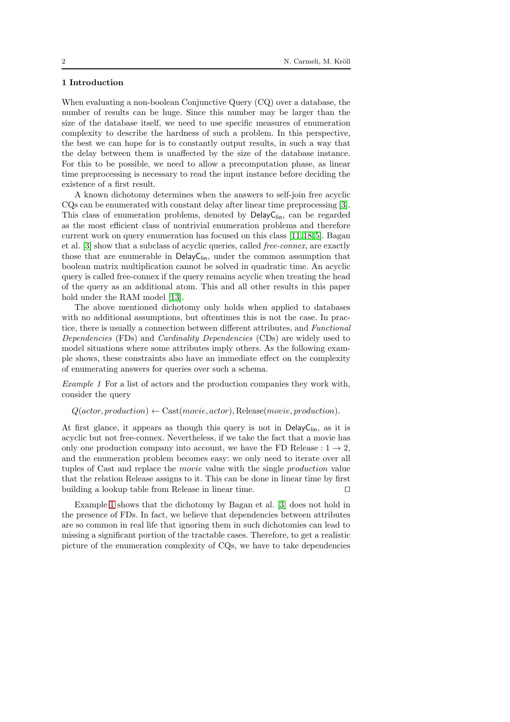## 1 Introduction

When evaluating a non-boolean Conjunctive Query (CQ) over a database, the number of results can be huge. Since this number may be larger than the size of the database itself, we need to use specific measures of enumeration complexity to describe the hardness of such a problem. In this perspective, the best we can hope for is to constantly output results, in such a way that the delay between them is unaffected by the size of the database instance. For this to be possible, we need to allow a precomputation phase, as linear time preprocessing is necessary to read the input instance before deciding the existence of a first result.

A known dichotomy determines when the answers to self-join free acyclic CQs can be enumerated with constant delay after linear time preprocessing [\[3\]](#page-34-0). This class of enumeration problems, denoted by DelayC<sub>lin</sub>, can be regarded as the most efficient class of nontrivial enumeration problems and therefore current work on query enumeration has focused on this class [\[11,](#page-34-1)18,5]. Bagan et al. [\[3\]](#page-34-0) show that a subclass of acyclic queries, called free-connex, are exactly those that are enumerable in  $DelayC_{lin}$ , under the common assumption that boolean matrix multiplication cannot be solved in quadratic time. An acyclic query is called free-connex if the query remains acyclic when treating the head of the query as an additional atom. This and all other results in this paper hold under the RAM model [13].

The above mentioned dichotomy only holds when applied to databases with no additional assumptions, but oftentimes this is not the case. In practice, there is usually a connection between different attributes, and Functional Dependencies (FDs) and Cardinality Dependencies (CDs) are widely used to model situations where some attributes imply others. As the following example shows, these constraints also have an immediate effect on the complexity of enumerating answers for queries over such a schema.

Example 1 For a list of actors and the production companies they work with, consider the query

## <span id="page-1-0"></span> $Q(actor, production) \leftarrow \text{Cast}(movie, actor), Release(movic, production).$

At first glance, it appears as though this query is not in DelayC<sub>lin</sub>, as it is acyclic but not free-connex. Nevertheless, if we take the fact that a movie has only one production company into account, we have the FD Release :  $1 \rightarrow 2$ , and the enumeration problem becomes easy: we only need to iterate over all tuples of Cast and replace the movie value with the single production value that the relation Release assigns to it. This can be done in linear time by first building a lookup table from Release in linear time. ⊓⊔

Example [1](#page-1-0) shows that the dichotomy by Bagan et al. [\[3\]](#page-34-0) does not hold in the presence of FDs. In fact, we believe that dependencies between attributes are so common in real life that ignoring them in such dichotomies can lead to missing a significant portion of the tractable cases. Therefore, to get a realistic picture of the enumeration complexity of CQs, we have to take dependencies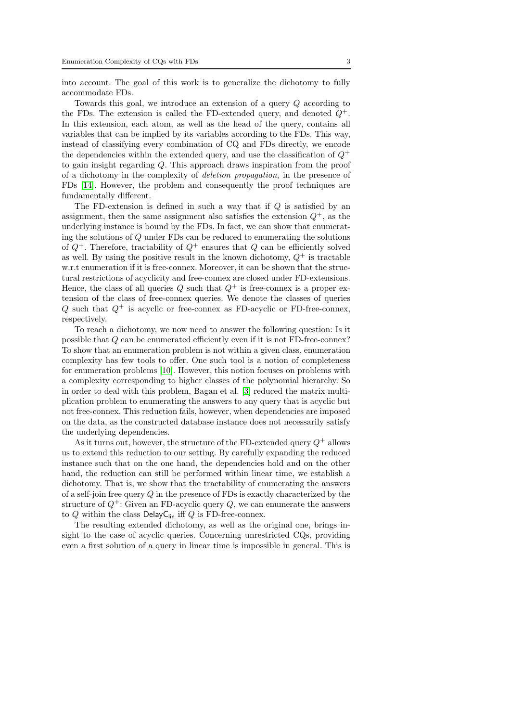into account. The goal of this work is to generalize the dichotomy to fully accommodate FDs.

Towards this goal, we introduce an extension of a query Q according to the FDs. The extension is called the FD-extended query, and denoted  $Q^+$ . In this extension, each atom, as well as the head of the query, contains all variables that can be implied by its variables according to the FDs. This way, instead of classifying every combination of CQ and FDs directly, we encode the dependencies within the extended query, and use the classification of  $Q^+$ to gain insight regarding Q. This approach draws inspiration from the proof of a dichotomy in the complexity of deletion propagation, in the presence of FDs [\[14\]](#page-35-0). However, the problem and consequently the proof techniques are fundamentally different.

The FD-extension is defined in such a way that if  $Q$  is satisfied by an assignment, then the same assignment also satisfies the extension  $Q^+$ , as the underlying instance is bound by the FDs. In fact, we can show that enumerating the solutions of Q under FDs can be reduced to enumerating the solutions of  $Q^+$ . Therefore, tractability of  $Q^+$  ensures that Q can be efficiently solved as well. By using the positive result in the known dichotomy,  $Q^+$  is tractable w.r.t enumeration if it is free-connex. Moreover, it can be shown that the structural restrictions of acyclicity and free-connex are closed under FD-extensions. Hence, the class of all queries  $Q$  such that  $Q^+$  is free-connex is a proper extension of the class of free-connex queries. We denote the classes of queries Q such that  $Q^+$  is acyclic or free-connex as FD-acyclic or FD-free-connex, respectively.

To reach a dichotomy, we now need to answer the following question: Is it possible that  $Q$  can be enumerated efficiently even if it is not FD-free-connex? To show that an enumeration problem is not within a given class, enumeration complexity has few tools to offer. One such tool is a notion of completeness for enumeration problems [10]. However, this notion focuses on problems with a complexity corresponding to higher classes of the polynomial hierarchy. So in order to deal with this problem, Bagan et al. [\[3\]](#page-34-0) reduced the matrix multiplication problem to enumerating the answers to any query that is acyclic but not free-connex. This reduction fails, however, when dependencies are imposed on the data, as the constructed database instance does not necessarily satisfy the underlying dependencies.

As it turns out, however, the structure of the FD-extended query  $Q^+$  allows us to extend this reduction to our setting. By carefully expanding the reduced instance such that on the one hand, the dependencies hold and on the other hand, the reduction can still be performed within linear time, we establish a dichotomy. That is, we show that the tractability of enumerating the answers of a self-join free query  $Q$  in the presence of FDs is exactly characterized by the structure of  $Q^+$ : Given an FD-acyclic query Q, we can enumerate the answers to Q within the class DelayC<sub>lin</sub> iff Q is FD-free-connex.

The resulting extended dichotomy, as well as the original one, brings insight to the case of acyclic queries. Concerning unrestricted CQs, providing even a first solution of a query in linear time is impossible in general. This is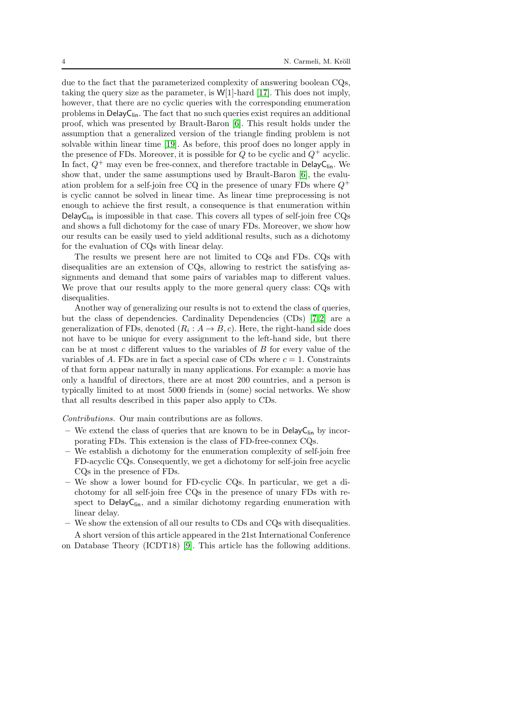due to the fact that the parameterized complexity of answering boolean CQs, taking the query size as the parameter, is  $W[1]$ -hard [17]. This does not imply, however, that there are no cyclic queries with the corresponding enumeration problems in  $DelayC<sub>lin</sub>$ . The fact that no such queries exist requires an additional proof, which was presented by Brault-Baron [\[6\]](#page-34-2). This result holds under the assumption that a generalized version of the triangle finding problem is not solvable within linear time [19]. As before, this proof does no longer apply in the presence of FDs. Moreover, it is possible for  $Q$  to be cyclic and  $Q^+$  acyclic. In fact,  $Q^+$  may even be free-connex, and therefore tractable in DelayC<sub>lin</sub>. We show that, under the same assumptions used by Brault-Baron [\[6\]](#page-34-2), the evaluation problem for a self-join free CQ in the presence of unary FDs where  $Q^+$ is cyclic cannot be solved in linear time. As linear time preprocessing is not enough to achieve the first result, a consequence is that enumeration within DelayC<sub>lin</sub> is impossible in that case. This covers all types of self-join free CQs and shows a full dichotomy for the case of unary FDs. Moreover, we show how our results can be easily used to yield additional results, such as a dichotomy for the evaluation of CQs with linear delay.

The results we present here are not limited to CQs and FDs. CQs with disequalities are an extension of CQs, allowing to restrict the satisfying assignments and demand that some pairs of variables map to different values. We prove that our results apply to the more general query class: CQs with disequalities.

Another way of generalizing our results is not to extend the class of queries, but the class of dependencies. Cardinality Dependencies (CDs) [7,2] are a generalization of FDs, denoted  $(R_i: A \to B, c)$ . Here, the right-hand side does not have to be unique for every assignment to the left-hand side, but there can be at most c different values to the variables of  $B$  for every value of the variables of A. FDs are in fact a special case of CDs where  $c = 1$ . Constraints of that form appear naturally in many applications. For example: a movie has only a handful of directors, there are at most 200 countries, and a person is typically limited to at most 5000 friends in (some) social networks. We show that all results described in this paper also apply to CDs.

Contributions. Our main contributions are as follows.

- We extend the class of queries that are known to be in DelayC<sub>lip</sub> by incorporating FDs. This extension is the class of FD-free-connex CQs.
- We establish a dichotomy for the enumeration complexity of self-join free FD-acyclic CQs. Consequently, we get a dichotomy for self-join free acyclic CQs in the presence of FDs.
- We show a lower bound for FD-cyclic CQs. In particular, we get a dichotomy for all self-join free CQs in the presence of unary FDs with respect to  $DelayC<sub>lin</sub>$ , and a similar dichotomy regarding enumeration with linear delay.
- We show the extension of all our results to CDs and CQs with disequalities. A short version of this article appeared in the 21st International Conference

on Database Theory (ICDT18) [\[9\]](#page-34-3). This article has the following additions.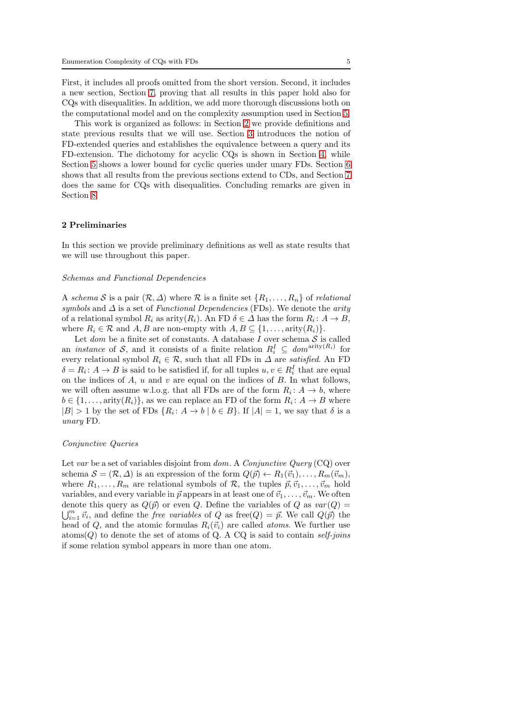First, it includes all proofs omitted from the short version. Second, it includes a new section, Section [7,](#page-31-0) proving that all results in this paper hold also for CQs with disequalities. In addition, we add more thorough discussions both on the computational model and on the complexity assumption used in Section [5.](#page-22-0)

This work is organized as follows: in Section [2](#page-4-0) we provide definitions and state previous results that we will use. Section [3](#page-8-0) introduces the notion of FD-extended queries and establishes the equivalence between a query and its FD-extension. The dichotomy for acyclic CQs is shown in Section [4,](#page-15-0) while Section [5](#page-22-0) shows a lower bound for cyclic queries under unary FDs. Section [6](#page-28-0) shows that all results from the previous sections extend to CDs, and Section [7](#page-31-0) does the same for CQs with disequalities. Concluding remarks are given in Section [8.](#page-33-0)

#### <span id="page-4-0"></span>2 Preliminaries

In this section we provide preliminary definitions as well as state results that we will use throughout this paper.

#### Schemas and Functional Dependencies

A schema S is a pair  $(\mathcal{R}, \Delta)$  where R is a finite set  $\{R_1, \ldots, R_n\}$  of relational symbols and  $\Delta$  is a set of Functional Dependencies (FDs). We denote the arity of a relational symbol  $R_i$  as arity $(R_i)$ . An FD  $\delta \in \Delta$  has the form  $R_i: A \to B$ , where  $R_i \in \mathcal{R}$  and  $A, B$  are non-empty with  $A, B \subseteq \{1, \ldots, \text{arity}(R_i)\}.$ 

Let dom be a finite set of constants. A database  $I$  over schema  $S$  is called an *instance* of S, and it consists of a finite relation  $R_i^I \subseteq dom^{arity(R_i)}$  for every relational symbol  $R_i \in \mathcal{R}$ , such that all FDs in  $\Delta$  are satisfied. An FD  $\delta = R_i: A \to B$  is said to be satisfied if, for all tuples  $u, v \in R_i^I$  that are equal on the indices of  $A$ ,  $u$  and  $v$  are equal on the indices of  $B$ . In what follows, we will often assume w.l.o.g. that all FDs are of the form  $R_i: A \to b$ , where  $b \in \{1, \ldots, \text{arity}(R_i)\}\)$ , as we can replace an FD of the form  $R_i: A \to B$  where  $|B| > 1$  by the set of FDs  $\{R_i: A \to b \mid b \in B\}$ . If  $|A| = 1$ , we say that  $\delta$  is a unary FD.

#### Conjunctive Queries

Let var be a set of variables disjoint from  $dom. A$  Conjunctive Query (CQ) over schema  $\mathcal{S} = (\mathcal{R}, \Delta)$  is an expression of the form  $Q(\vec{p}) \leftarrow R_1(\vec{v}_1), \dots, R_m(\vec{v}_m)$ , where  $R_1, \ldots, R_m$  are relational symbols of R, the tuples  $\vec{p}, \vec{v}_1, \ldots, \vec{v}_m$  hold variables, and every variable in  $\vec{p}$  appears in at least one of  $\vec{v}_1, \ldots, \vec{v}_m$ . We often denote this query as  $Q(\vec{p})$  or even Q. Define the variables of Q as  $var(Q)$  =  $\bigcup_{i=1}^m \vec{v}_i$ , and define the *free variables* of Q as free(Q) =  $\vec{p}$ . We call  $Q(\vec{p})$  the head of Q, and the atomic formulas  $R_i(\vec{v}_i)$  are called *atoms*. We further use atoms( $Q$ ) to denote the set of atoms of Q. A CQ is said to contain self-joins if some relation symbol appears in more than one atom.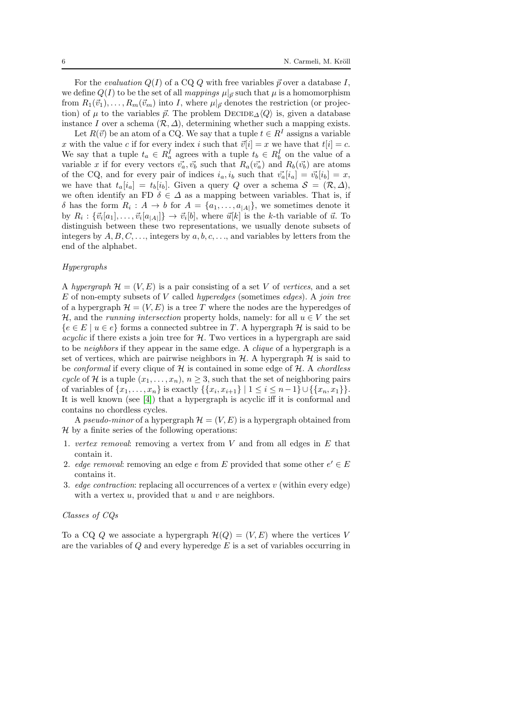For the *evaluation*  $Q(I)$  of a CQ Q with free variables  $\vec{p}$  over a database I, we define  $Q(I)$  to be the set of all *mappings*  $\mu|_{\vec{p}}$  such that  $\mu$  is a homomorphism from  $R_1(\vec{v}_1), \ldots, R_m(\vec{v}_m)$  into I, where  $\mu|_{\vec{p}}$  denotes the restriction (or projection) of  $\mu$  to the variables  $\vec{p}$ . The problem DECIDE<sub> $\Delta$ </sub> $\langle Q \rangle$  is, given a database instance I over a schema  $(\mathcal{R}, \Delta)$ , determining whether such a mapping exists.

Let  $R(\vec{v})$  be an atom of a CQ. We say that a tuple  $t \in R<sup>I</sup>$  assigns a variable x with the value c if for every index i such that  $\vec{v}[i] = x$  we have that  $t[i] = c$ . We say that a tuple  $t_a \in R_a^I$  agrees with a tuple  $t_b \in R_b^I$  on the value of a variable x if for every vectors  $\vec{v}_a, \vec{v}_b$  such that  $R_a(\vec{v}_a)$  and  $R_b(\vec{v}_b)$  are atoms of the CQ, and for every pair of indices  $i_a, i_b$  such that  $\vec{v}_a[i_a] = \vec{v}_b[i_b] = x$ , we have that  $t_a[i_a] = t_b[i_b]$ . Given a query Q over a schema  $\mathcal{S} = (\mathcal{R}, \Delta),$ we often identify an FD  $\delta \in \Delta$  as a mapping between variables. That is, if  $\delta$  has the form  $R_i: A \to b$  for  $A = \{a_1, \ldots, a_{|A|}\}\$ , we sometimes denote it by  $R_i: \{\vec{v}_i[a_1], \ldots, \vec{v}_i[a_{|A|}]\} \to \vec{v}_i[b]$ , where  $\vec{u}[k]$  is the k-th variable of  $\vec{u}$ . To distinguish between these two representations, we usually denote subsets of integers by  $A, B, C, \ldots$ , integers by  $a, b, c, \ldots$ , and variables by letters from the end of the alphabet.

## Hypergraphs

A hypergraph  $\mathcal{H} = (V, E)$  is a pair consisting of a set V of vertices, and a set  $E$  of non-empty subsets of  $V$  called *hyperedges* (sometimes *edges*). A *join tree* of a hypergraph  $\mathcal{H} = (V, E)$  is a tree T where the nodes are the hyperedges of H, and the *running intersection* property holds, namely: for all  $u \in V$  the set  ${e \in E \mid u \in e}$  forms a connected subtree in T. A hypergraph H is said to be *acyclic* if there exists a join tree for  $H$ . Two vertices in a hypergraph are said to be neighbors if they appear in the same edge. A clique of a hypergraph is a set of vertices, which are pairwise neighbors in  $H$ . A hypergraph  $H$  is said to be *conformal* if every clique of  $H$  is contained in some edge of  $H$ . A *chordless* cycle of H is a tuple  $(x_1, \ldots, x_n)$ ,  $n \geq 3$ , such that the set of neighboring pairs of variables of  $\{x_1, \ldots, x_n\}$  is exactly  $\{\{x_i, x_{i+1}\} \mid 1 \le i \le n-1\} \cup \{\{x_n, x_1\}\}.$ It is well known (see [4]) that a hypergraph is acyclic iff it is conformal and contains no chordless cycles.

A pseudo-minor of a hypergraph  $\mathcal{H} = (V, E)$  is a hypergraph obtained from  $H$  by a finite series of the following operations:

- 1. vertex removal: removing a vertex from  $V$  and from all edges in  $E$  that contain it.
- 2. edge removal: removing an edge e from E provided that some other  $e' \in E$ contains it.
- 3. *edge contraction*: replacing all occurrences of a vertex  $v$  (within every edge) with a vertex  $u$ , provided that  $u$  and  $v$  are neighbors.

#### Classes of CQs

To a CQ Q we associate a hypergraph  $\mathcal{H}(Q) = (V, E)$  where the vertices V are the variables of  $Q$  and every hyperedge  $E$  is a set of variables occurring in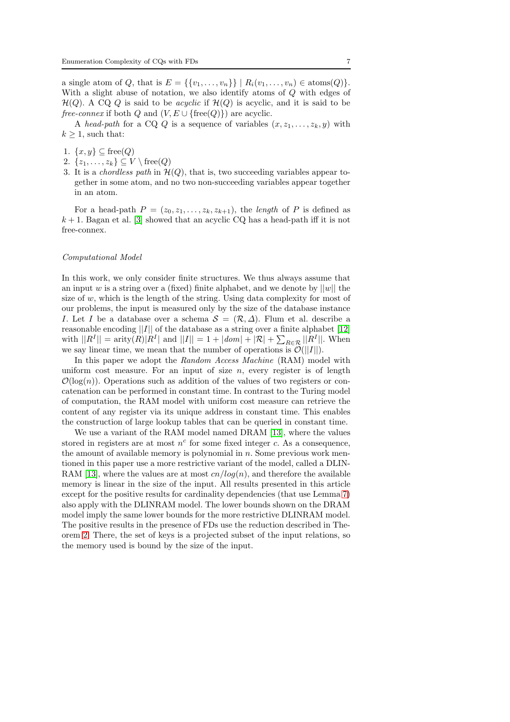a single atom of Q, that is  $E = \{\{v_1, ..., v_n\}\} | R_i(v_1, ..., v_n) \in \text{atoms}(Q) \}.$ With a slight abuse of notation, we also identify atoms of Q with edges of  $\mathcal{H}(Q)$ . A CQ Q is said to be *acyclic* if  $\mathcal{H}(Q)$  is acyclic, and it is said to be *free-connex* if both Q and  $(V, E \cup \{free(Q)\})$  are acyclic.

A head-path for a CQ Q is a sequence of variables  $(x, z_1, \ldots, z_k, y)$  with  $k > 1$ , such that:

- 1.  $\{x, y\} \subseteq \text{free}(Q)$
- 2.  $\{z_1, \ldots, z_k\} \subseteq V \setminus \text{free}(Q)$
- 3. It is a *chordless path* in  $\mathcal{H}(Q)$ , that is, two succeeding variables appear together in some atom, and no two non-succeeding variables appear together in an atom.

For a head-path  $P = (z_0, z_1, \ldots, z_k, z_{k+1})$ , the length of P is defined as  $k + 1$ . Bagan et al. [\[3\]](#page-34-0) showed that an acyclic CQ has a head-path iff it is not free-connex.

## Computational Model

In this work, we only consider finite structures. We thus always assume that an input w is a string over a (fixed) finite alphabet, and we denote by  $||w||$  the size of  $w$ , which is the length of the string. Using data complexity for most of our problems, the input is measured only by the size of the database instance I. Let I be a database over a schema  $S = (\mathcal{R}, \Delta)$ . Flum et al. describe a reasonable encoding  $||I||$  of the database as a string over a finite alphabet [12] with  $||R^I|| = \text{arity}(R)|R^I|$  and  $||I|| = 1 + |dom| + |\mathcal{R}| + \sum_{R \in \mathcal{R}} ||R^I||$ . When we say linear time, we mean that the number of operations is  $\mathcal{O}(||I||)$ .

In this paper we adopt the Random Access Machine (RAM) model with uniform cost measure. For an input of size  $n$ , every register is of length  $\mathcal{O}(\log(n))$ . Operations such as addition of the values of two registers or concatenation can be performed in constant time. In contrast to the Turing model of computation, the RAM model with uniform cost measure can retrieve the content of any register via its unique address in constant time. This enables the construction of large lookup tables that can be queried in constant time.

We use a variant of the RAM model named DRAM [13], where the values stored in registers are at most  $n^c$  for some fixed integer c. As a consequence, the amount of available memory is polynomial in  $n$ . Some previous work mentioned in this paper use a more restrictive variant of the model, called a DLIN-RAM [13], where the values are at most  $cn/log(n)$ , and therefore the available memory is linear in the size of the input. All results presented in this article except for the positive results for cardinality dependencies (that use Lemma [7\)](#page-29-0) also apply with the DLINRAM model. The lower bounds shown on the DRAM model imply the same lower bounds for the more restrictive DLINRAM model. The positive results in the presence of FDs use the reduction described in Theorem [2.](#page-10-0) There, the set of keys is a projected subset of the input relations, so the memory used is bound by the size of the input.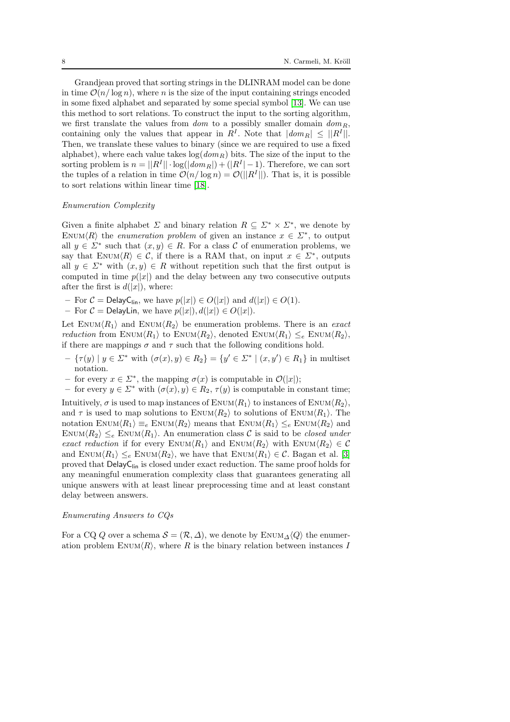Grandjean proved that sorting strings in the DLINRAM model can be done in time  $\mathcal{O}(n/\log n)$ , where n is the size of the input containing strings encoded in some fixed alphabet and separated by some special symbol [13]. We can use this method to sort relations. To construct the input to the sorting algorithm, we first translate the values from  $dom$  to a possibly smaller domain  $dom_R$ , containing only the values that appear in  $R<sup>I</sup>$ . Note that  $|dom_R| \leq ||R<sup>I</sup>||$ . Then, we translate these values to binary (since we are required to use a fixed alphabet), where each value takes  $\log(dom_B)$  bits. The size of the input to the sorting problem is  $n = ||R^I|| \cdot \log(|dom_R|) + (|R^I| - 1)$ . Therefore, we can sort the tuples of a relation in time  $\mathcal{O}(n/\log n) = \mathcal{O}(|R^I||)$ . That is, it is possible to sort relations within linear time [18].

#### Enumeration Complexity

Given a finite alphabet  $\Sigma$  and binary relation  $R \subseteq \Sigma^* \times \Sigma^*$ , we denote by ENUM $\langle R \rangle$  the *enumeration problem* of given an instance  $x \in \Sigma^*$ , to output all  $y \in \Sigma^*$  such that  $(x, y) \in R$ . For a class C of enumeration problems, we say that ENUM $\langle R \rangle \in \mathcal{C}$ , if there is a RAM that, on input  $x \in \Sigma^*$ , outputs all  $y \in \Sigma^*$  with  $(x, y) \in R$  without repetition such that the first output is computed in time  $p(|x|)$  and the delay between any two consecutive outputs after the first is  $d(|x|)$ , where:

- For  $C =$  DelayC<sub>lin</sub>, we have  $p(|x|) \in O(|x|)$  and  $d(|x|) \in O(1)$ .
- For  $C =$  DelayLin, we have  $p(|x|), d(|x|) \in O(|x|)$ .

Let ENUM $\langle R_1 \rangle$  and ENUM $\langle R_2 \rangle$  be enumeration problems. There is an exact *reduction* from  $\text{EWIM}\langle R_1 \rangle$  to  $\text{EWIM}\langle R_2 \rangle$ , denoted  $\text{EWIM}\langle R_1 \rangle \leq_e \text{EWUM}\langle R_2 \rangle$ , if there are mappings  $\sigma$  and  $\tau$  such that the following conditions hold.

- $\{ \tau(y) \mid y \in \Sigma^* \text{ with } (\sigma(x), y) \in R_2 \} = \{ y' \in \Sigma^* \mid (x, y') \in R_1 \} \text{ in multiset }$ notation.
- for every x ∈ Σ<sup>∗</sup> , the mapping σ(x) is computable in O(|x|);
- for every  $y \in \Sigma^*$  with  $(\sigma(x), y) \in R_2$ ,  $\tau(y)$  is computable in constant time;

Intuitively,  $\sigma$  is used to map instances of ENUM $\langle R_1 \rangle$  to instances of ENUM $\langle R_2 \rangle$ , and  $\tau$  is used to map solutions to ENUM $\langle R_2 \rangle$  to solutions of ENUM $\langle R_1 \rangle$ . The notation ENUM $\langle R_1 \rangle \equiv_e \text{EWUM}\langle R_2 \rangle$  means that ENUM $\langle R_1 \rangle \leq_e \text{EWUM}\langle R_2 \rangle$  and ENUM $\langle R_2 \rangle \leq_e$  ENUM $\langle R_1 \rangle$ . An enumeration class C is said to be closed under exact reduction if for every ENUM $\langle R_1 \rangle$  and ENUM $\langle R_2 \rangle$  with ENUM $\langle R_2 \rangle \in \mathcal{C}$ and ENUM $\langle R_1 \rangle \leq_e$  ENUM $\langle R_2 \rangle$ , we have that ENUM $\langle R_1 \rangle \in \mathcal{C}$ . Bagan et al. [\[3\]](#page-34-0) proved that  $\mathsf{DelayC}_{\mathsf{lin}}$  is closed under exact reduction. The same proof holds for any meaningful enumeration complexity class that guarantees generating all unique answers with at least linear preprocessing time and at least constant delay between answers.

#### Enumerating Answers to CQs

For a CQ Q over a schema  $S = (\mathcal{R}, \Delta)$ , we denote by ENUM $_A \langle Q \rangle$  the enumeration problem ENUM $\langle R \rangle$ , where R is the binary relation between instances I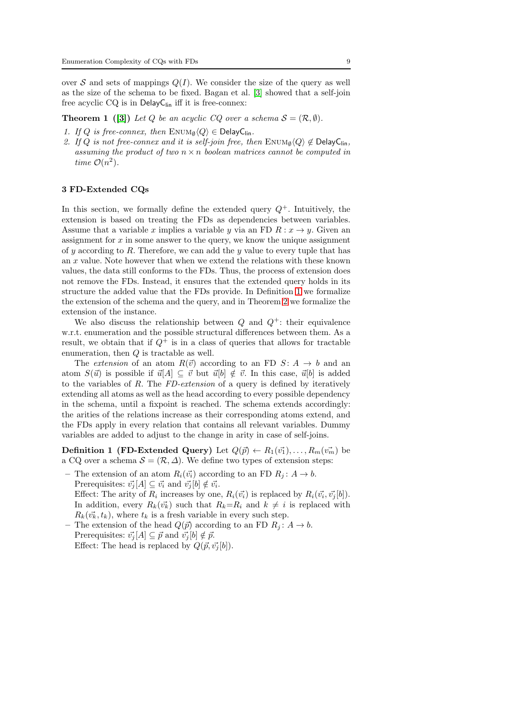over S and sets of mappings  $Q(I)$ . We consider the size of the query as well as the size of the schema to be fixed. Bagan et al. [\[3\]](#page-34-0) showed that a self-join free acyclic  $CQ$  is in  $DelayC_{lin}$  iff it is free-connex:

<span id="page-8-2"></span>**Theorem 1** ([\[3\]](#page-34-0)) Let Q be an acyclic CQ over a schema  $S = (\mathcal{R}, \emptyset)$ .

- 1. If Q is free-connex, then  $\text{EWM}_{\emptyset}\langle Q \rangle \in \text{DelayC}_{\text{lin}}$ .
- 2. If Q is not free-connex and it is self-join free, then  $\text{Enum}_{\emptyset}(Q) \notin \text{DelayC}_{\text{lin}}$ , assuming the product of two  $n \times n$  boolean matrices cannot be computed in time  $\mathcal{O}(n^2)$ .

#### <span id="page-8-0"></span>3 FD-Extended CQs

In this section, we formally define the extended query  $Q^+$ . Intuitively, the extension is based on treating the FDs as dependencies between variables. Assume that a variable x implies a variable y via an FD  $R: x \to y$ . Given an assignment for x in some answer to the query, we know the unique assignment of y according to R. Therefore, we can add the y value to every tuple that has an  $x$  value. Note however that when we extend the relations with these known values, the data still conforms to the FDs. Thus, the process of extension does not remove the FDs. Instead, it ensures that the extended query holds in its structure the added value that the FDs provide. In Definition [1](#page-8-1) we formalize the extension of the schema and the query, and in Theorem [2](#page-10-0) we formalize the extension of the instance.

We also discuss the relationship between  $Q$  and  $Q^+$ : their equivalence w.r.t. enumeration and the possible structural differences between them. As a result, we obtain that if  $Q^+$  is in a class of queries that allows for tractable enumeration, then Q is tractable as well.

The extension of an atom  $R(\vec{v})$  according to an FD  $S: A \rightarrow b$  and an atom  $S(\vec{u})$  is possible if  $\vec{u}[A] \subseteq \vec{v}$  but  $\vec{u}[b] \notin \vec{v}$ . In this case,  $\vec{u}[b]$  is added to the variables of  $R$ . The  $FD\text{-}extension$  of a query is defined by iteratively extending all atoms as well as the head according to every possible dependency in the schema, until a fixpoint is reached. The schema extends accordingly: the arities of the relations increase as their corresponding atoms extend, and the FDs apply in every relation that contains all relevant variables. Dummy variables are added to adjust to the change in arity in case of self-joins.

<span id="page-8-1"></span>**Definition 1 (FD-Extended Query)** Let  $Q(\vec{p}) \leftarrow R_1(\vec{v_1}), \ldots, R_m(\vec{v_m})$  be a CQ over a schema  $S = (\mathcal{R}, \Delta)$ . We define two types of extension steps:

- The extension of an atom  $R_i(\vec{v_i})$  according to an FD  $R_i: A \rightarrow b$ . Prerequisites:  $\vec{v}_j[A] \subseteq \vec{v}_i$  and  $\vec{v}_j[b] \notin \vec{v}_i$ . Effect: The arity of  $R_i$  increases by one,  $R_i(\vec{v_i})$  is replaced by  $R_i(\vec{v_i}, \vec{v_j}[b])$ . In addition, every  $R_k(\vec{v}_k)$  such that  $R_k=R_i$  and  $k \neq i$  is replaced with  $R_k(\vec{v}_k, t_k)$ , where  $t_k$  is a fresh variable in every such step.
- The extension of the head  $Q(\vec{p})$  according to an FD  $R_i: A \to b$ . Prerequisites:  $\vec{v}_i[A] \subseteq \vec{p}$  and  $\vec{v}_i[b] \notin \vec{p}$ . Effect: The head is replaced by  $Q(\vec{p}, \vec{v}_i | b)$ .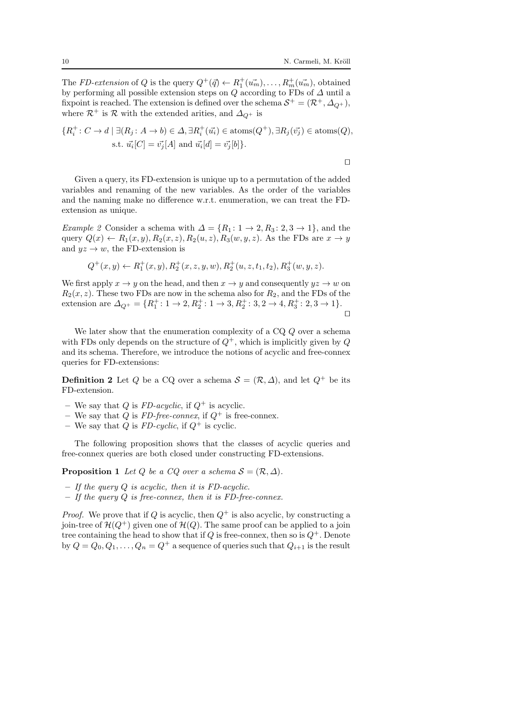The *FD-extension* of Q is the query  $Q^+(\vec{q}) \leftarrow R_1^+(u_m^-, \ldots, R_m^+(u_m^+),$  obtained by performing all possible extension steps on  $Q$  according to FDs of  $\Delta$  until a fixpoint is reached. The extension is defined over the schema  $S^+ = (\mathcal{R}^+, \Delta_{Q^+})$ , where  $\mathcal{R}^+$  is  $\mathcal{R}$  with the extended arities, and  $\Delta_{Q^+}$  is

$$
\{R_i^+: C \to d \mid \exists (R_j: A \to b) \in \Delta, \exists R_i^+(u_i^*) \in \text{atoms}(Q^+), \exists R_j(\vec{v_j}) \in \text{atoms}(Q),
$$
  
s.t.  $\vec{u_i}[C] = \vec{v_j}[A]$  and  $\vec{u_i}[d] = \vec{v_j}[b]\}.$ 

⊓⊔

Given a query, its FD-extension is unique up to a permutation of the added variables and renaming of the new variables. As the order of the variables and the naming make no difference w.r.t. enumeration, we can treat the FDextension as unique.

Example 2 Consider a schema with  $\Delta = \{R_1: 1 \rightarrow 2, R_3: 2, 3 \rightarrow 1\}$ , and the query  $Q(x) \leftarrow R_1(x, y), R_2(x, z), R_2(u, z), R_3(w, y, z)$ . As the FDs are  $x \to y$ and  $yz \rightarrow w$ , the FD-extension is

$$
Q^+(x,y) \leftarrow R_1^+(x,y), R_2^+(x,z,y,w), R_2^+(u,z,t_1,t_2), R_3^+(w,y,z).
$$

We first apply  $x \to y$  on the head, and then  $x \to y$  and consequently  $yz \to w$  on  $R_2(x, z)$ . These two FDs are now in the schema also for  $R_2$ , and the FDs of the extension are  $\Delta_{Q^+} = \{R_1^+ : 1 \to 2, R_2^+ : 1 \to 3, R_2^+ : 3, 2 \to 4, R_3^+ : 2, 3 \to 1\}.$ ⊓⊔

We later show that the enumeration complexity of a CQ  $Q$  over a schema with FDs only depends on the structure of  $Q^+$ , which is implicitly given by  $Q$ and its schema. Therefore, we introduce the notions of acyclic and free-connex queries for FD-extensions:

**Definition 2** Let Q be a CQ over a schema  $S = (\mathcal{R}, \Delta)$ , and let  $Q^+$  be its FD-extension.

- We say that Q is FD-acyclic, if  $Q^+$  is acyclic.
- We say that Q is FD-free-connex, if  $Q^+$  is free-connex.
- We say that Q is  $FD\text{-}cyclic$ , if  $Q^+$  is cyclic.

<span id="page-9-0"></span>The following proposition shows that the classes of acyclic queries and free-connex queries are both closed under constructing FD-extensions.

**Proposition 1** Let Q be a CQ over a schema  $S = (\mathcal{R}, \Delta)$ .

- $-$  If the query Q is acyclic, then it is FD-acyclic.
- $-$  If the query  $Q$  is free-connex, then it is FD-free-connex.

*Proof.* We prove that if Q is acyclic, then  $Q^+$  is also acyclic, by constructing a join-tree of  $\mathcal{H}(Q^+)$  given one of  $\mathcal{H}(Q)$ . The same proof can be applied to a join tree containing the head to show that if Q is free-connex, then so is  $Q^+$ . Denote by  $Q = Q_0, Q_1, \ldots, Q_n = Q^+$  a sequence of queries such that  $Q_{i+1}$  is the result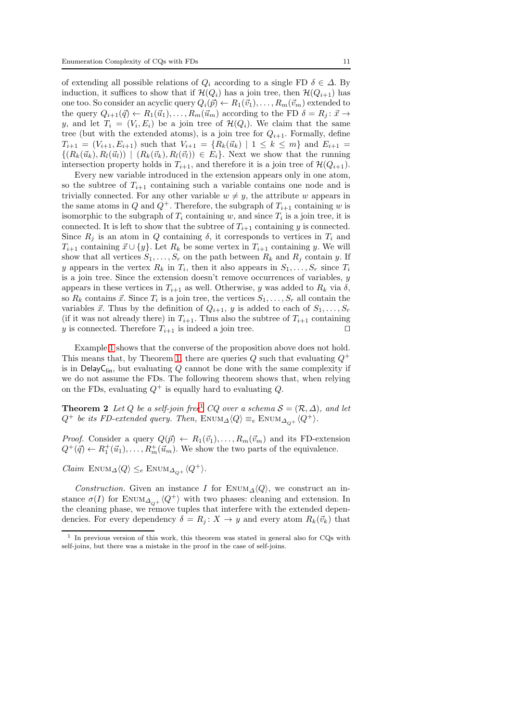of extending all possible relations of  $Q_i$  according to a single FD  $\delta \in \Delta$ . By induction, it suffices to show that if  $\mathcal{H}(Q_i)$  has a join tree, then  $\mathcal{H}(Q_{i+1})$  has one too. So consider an acyclic query  $Q_i(\vec{p}) \leftarrow R_1(\vec{v}_1), \ldots, R_m(\vec{v}_m)$  extended to the query  $Q_{i+1}(\vec{q}) \leftarrow R_1(\vec{u}_1), \ldots, R_m(\vec{u}_m)$  according to the FD  $\delta = R_i : \vec{x} \rightarrow$ y, and let  $T_i = (V_i, E_i)$  be a join tree of  $\mathcal{H}(Q_i)$ . We claim that the same tree (but with the extended atoms), is a join tree for  $Q_{i+1}$ . Formally, define  $T_{i+1} = (V_{i+1}, E_{i+1})$  such that  $V_{i+1} = \{R_k(\vec{u}_k) \mid 1 \leq k \leq m\}$  and  $E_{i+1} =$  $\{(R_k(\vec{u}_k), R_l(\vec{u}_l)) | (R_k(\vec{v}_k), R_l(\vec{v}_l)) \in E_i\}$ . Next we show that the running intersection property holds in  $T_{i+1}$ , and therefore it is a join tree of  $\mathcal{H}(Q_{i+1})$ .

Every new variable introduced in the extension appears only in one atom, so the subtree of  $T_{i+1}$  containing such a variable contains one node and is trivially connected. For any other variable  $w \neq y$ , the attribute w appears in the same atoms in Q and  $Q^+$ . Therefore, the subgraph of  $T_{i+1}$  containing w is isomorphic to the subgraph of  $T_i$  containing w, and since  $T_i$  is a join tree, it is connected. It is left to show that the subtree of  $T_{i+1}$  containing y is connected. Since  $R_i$  is an atom in Q containing  $\delta$ , it corresponds to vertices in  $T_i$  and  $T_{i+1}$  containing  $\vec{x} \cup \{y\}$ . Let  $R_k$  be some vertex in  $T_{i+1}$  containing y. We will show that all vertices  $S_1, \ldots, S_r$  on the path between  $R_k$  and  $R_j$  contain y. If y appears in the vertex  $R_k$  in  $T_i$ , then it also appears in  $S_1, \ldots, S_r$  since  $T_i$ is a join tree. Since the extension doesn't remove occurrences of variables,  $y$ appears in these vertices in  $T_{i+1}$  as well. Otherwise, y was added to  $R_k$  via  $\delta$ , so  $R_k$  contains  $\vec{x}$ . Since  $T_i$  is a join tree, the vertices  $S_1, \ldots, S_r$  all contain the variables  $\vec{x}$ . Thus by the definition of  $Q_{i+1}$ , y is added to each of  $S_1, \ldots, S_r$ (if it was not already there) in  $T_{i+1}$ . Thus also the subtree of  $T_{i+1}$  containing y is connected. Therefore  $T_{i+1}$  is indeed a join tree. □

Example [1](#page-1-0) shows that the converse of the proposition above does not hold. This means that, by Theorem [1,](#page-8-2) there are queries  $Q$  such that evaluating  $Q^+$ is in DelayC<sub>lin</sub>, but evaluating  $Q$  cannot be done with the same complexity if we do not assume the FDs. The following theorem shows that, when relying on the FDs, evaluating  $Q^+$  is equally hard to evaluating  $Q$ .

<span id="page-10-0"></span>**Theorem 2** Let Q be a self-join free<sup>[1](#page-10-1)</sup> CQ over a schema  $S = (\mathcal{R}, \Delta)$ , and let  $Q^+$  be its FD-extended query. Then, ENUM $\Delta \langle Q \rangle \equiv_e$  ENUM $\Delta_{\Omega^+} \langle Q^+ \rangle$ .

*Proof.* Consider a query  $Q(\vec{p}) \leftarrow R_1(\vec{v}_1), \ldots, R_m(\vec{v}_m)$  and its FD-extension  $Q^+(\vec{q}) \leftarrow R_1^+(\vec{u}_1), \ldots, R_m^+(\vec{u}_m)$ . We show the two parts of the equivalence.

Claim  $\text{ENUM}_{\Delta}\langle Q \rangle \leq_e \text{ENUM}_{\Delta_{\Omega^+}}\langle Q^+ \rangle.$ 

Construction. Given an instance I for ENUM<sub> $\Delta$ </sub> $\langle Q \rangle$ , we construct an instance  $\sigma(I)$  for ENUM<sub> $\Delta_{\Omega^+}\langle Q^+\rangle$  with two phases: cleaning and extension. In</sub> the cleaning phase, we remove tuples that interfere with the extended dependencies. For every dependency  $\delta = R_j : X \to y$  and every atom  $R_k(\vec{v}_k)$  that

<span id="page-10-1"></span><sup>&</sup>lt;sup>1</sup> In previous version of this work, this theorem was stated in general also for CQs with self-joins, but there was a mistake in the proof in the case of self-joins.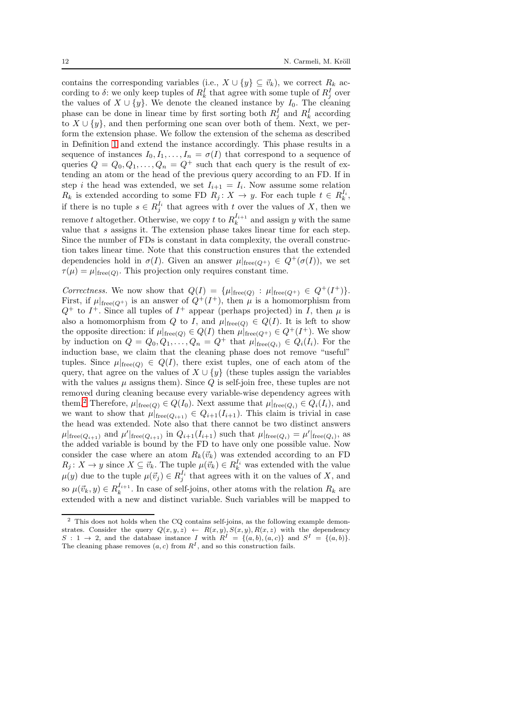contains the corresponding variables (i.e.,  $X \cup \{y\} \subseteq \vec{v}_k$ ), we correct  $R_k$  according to  $\delta$ : we only keep tuples of  $R_k^I$  that agree with some tuple of  $R_j^I$  over the values of  $X \cup \{y\}$ . We denote the cleaned instance by  $I_0$ . The cleaning phase can be done in linear time by first sorting both  $R_j^I$  and  $R_k^I$  according to  $X \cup \{y\}$ , and then performing one scan over both of them. Next, we perform the extension phase. We follow the extension of the schema as described in Definition [1](#page-8-1) and extend the instance accordingly. This phase results in a sequence of instances  $I_0, I_1, \ldots, I_n = \sigma(I)$  that correspond to a sequence of queries  $Q = Q_0, Q_1, \ldots, Q_n = Q^+$  such that each query is the result of extending an atom or the head of the previous query according to an FD. If in step *i* the head was extended, we set  $I_{i+1} = I_i$ . Now assume some relation  $R_k$  is extended according to some FD  $R_j: X \to y$ . For each tuple  $t \in R_k^{I_i}$ , if there is no tuple  $s \in R_j^{I_i}$  that agrees with t over the values of X, then we remove t altogether. Otherwise, we copy t to  $R_k^{I_{i+1}}$  and assign y with the same value that s assigns it. The extension phase takes linear time for each step. Since the number of FDs is constant in data complexity, the overall construction takes linear time. Note that this construction ensures that the extended dependencies hold in  $\sigma(I)$ . Given an answer  $\mu|_{\text{free}(Q^+)} \in Q^+(\sigma(I))$ , we set  $\tau(\mu) = \mu|_{\text{free}(Q)}$ . This projection only requires constant time.

Correctness. We now show that  $Q(I) = \{ \mu |_{\text{free}(Q)} : \mu |_{\text{free}(Q^+)} \in Q^+(I^+) \}.$ First, if  $\mu|_{\text{free}(Q^+)}$  is an answer of  $Q^+(I^+)$ , then  $\mu$  is a homomorphism from  $Q^+$  to  $I^+$ . Since all tuples of  $I^+$  appear (perhaps projected) in I, then  $\mu$  is also a homomorphism from Q to I, and  $\mu|_{\text{free}(Q)} \in Q(I)$ . It is left to show the opposite direction: if  $\mu|_{\text{free}(Q)} \in Q(I)$  then  $\mu|_{\text{free}(Q^+)} \in Q^+(I^+)$ . We show by induction on  $Q = Q_0, Q_1, \ldots, Q_n = Q^+$  that  $\mu|_{\text{free}(Q_i)} \in Q_i(I_i)$ . For the induction base, we claim that the cleaning phase does not remove "useful" tuples. Since  $\mu|_{\text{free}(Q)} \in Q(I)$ , there exist tuples, one of each atom of the query, that agree on the values of  $X \cup \{y\}$  (these tuples assign the variables with the values  $\mu$  assigns them). Since Q is self-join free, these tuples are not removed during cleaning because every variable-wise dependency agrees with them.<sup>[2](#page-11-0)</sup> Therefore,  $\mu|_{\text{free}(Q)} \in Q(I_0)$ . Next assume that  $\mu|_{\text{free}(Q_i)} \in Q_i(I_i)$ , and we want to show that  $\mu|_{\text{free}(Q_{i+1})} \in Q_{i+1}(I_{i+1})$ . This claim is trivial in case the head was extended. Note also that there cannot be two distinct answers  $\mu|_{\text{free}(Q_{i+1})}$  and  $\mu'|_{\text{free}(Q_{i+1})}$  in  $Q_{i+1}(I_{i+1})$  such that  $\mu|_{\text{free}(Q_i)} = \mu'|_{\text{free}(Q_i)}$ , as the added variable is bound by the FD to have only one possible value. Now consider the case where an atom  $R_k(\vec{v}_k)$  was extended according to an FD  $R_j: X \to y$  since  $X \subseteq \vec{v}_k$ . The tuple  $\mu(\vec{v}_k) \in R_k^{I_i}$  was extended with the value  $\mu(y)$  due to the tuple  $\mu(\vec{v}_j) \in R_j^{I_i}$  that agrees with it on the values of X, and so  $\mu(\vec{v}_k, y) \in R_k^{I_{i+1}}$ . In case of self-joins, other atoms with the relation  $R_k$  are extended with a new and distinct variable. Such variables will be mapped to

<span id="page-11-0"></span><sup>2</sup> This does not holds when the CQ contains self-joins, as the following example demonstrates. Consider the query  $Q(x, y, z) \leftarrow R(x, y), S(x, y), R(x, z)$  with the dependency  $S: 1 \rightarrow 2$ , and the database instance I with  $R^I = \{(a, b), (a, c)\}\$ and  $S^I = \{(a, b)\}.$ The cleaning phase removes  $(a, c)$  from  $R<sup>I</sup>$ , and so this construction fails.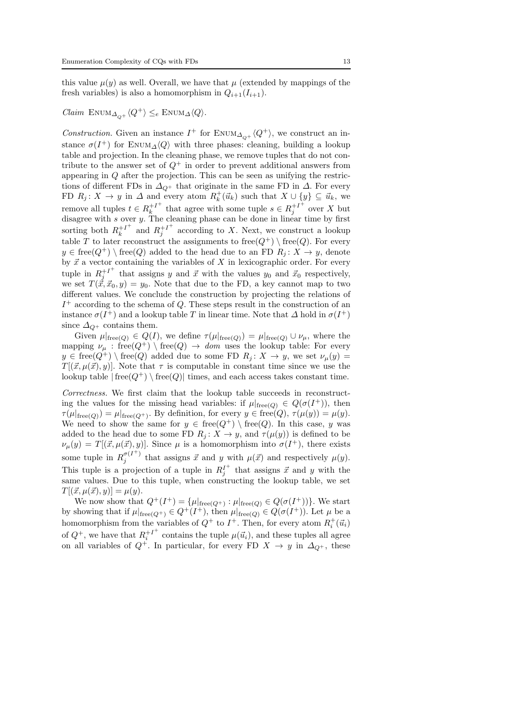this value  $\mu(y)$  as well. Overall, we have that  $\mu$  (extended by mappings of the fresh variables) is also a homomorphism in  $Q_{i+1}(I_{i+1})$ .

Claim  $\text{ENUM}_{\Delta_{\text{O}+}}\langle Q^+\rangle \leq_e \text{ENUM}_{\Delta}\langle Q\rangle.$ 

Construction. Given an instance  $I^+$  for  $\text{EWUM}_{\Delta_{Q^+}}\langle Q^+\rangle$ , we construct an instance  $\sigma(I^+)$  for ENUM<sub> $\Delta\langle Q \rangle$ </sub> with three phases: cleaning, building a lookup table and projection. In the cleaning phase, we remove tuples that do not contribute to the answer set of  $Q^+$  in order to prevent additional answers from appearing in Q after the projection. This can be seen as unifying the restrictions of different FDs in  $\Delta_{Q^+}$  that originate in the same FD in  $\Delta$ . For every FD  $R_j: X \to y$  in  $\Delta$  and every atom  $R_k^+(\vec{u}_k)$  such that  $X \cup \{y\} \subseteq \vec{u}_k$ , we remove all tuples  $t \in R_k^{+1^+}$  $k^{+1^+}$  that agree with some tuple  $s \in R_j^{+1^+}$  $j^{+1}$  over X but disagree with s over y. The cleaning phase can be done in linear time by first sorting both  $R_k^{+I^+}$  $k^{+I^+}$  and  $R_j^{+I^+}$  $j^{+1}$  according to X. Next, we construct a lookup table T to later reconstruct the assignments to free( $Q^+$ ) \ free( $Q$ ). For every  $y \in free(Q^+) \setminus free(Q)$  added to the head due to an FD  $R_i: X \to y$ , denote by  $\vec{x}$  a vector containing the variables of X in lexicographic order. For every tuple in  $R_i^{+I^+}$  $j_j^{+1}$  that assigns y and  $\vec{x}$  with the values  $y_0$  and  $\vec{x}_0$  respectively, we set  $T(\vec{\tilde{x}}, \vec{x}_0, y) = y_0$ . Note that due to the FD, a key cannot map to two different values. We conclude the construction by projecting the relations of  $I^+$  according to the schema of Q. These steps result in the construction of an instance  $\sigma(I^+)$  and a lookup table T in linear time. Note that  $\Delta$  hold in  $\sigma(I^+)$ since  $\Delta_{\Omega^+}$  contains them.

Given  $\mu|_{\text{free}(Q)} \in Q(I)$ , we define  $\tau(\mu|_{\text{free}(Q)}) = \mu|_{\text{free}(Q)} \cup \nu_{\mu}$ , where the mapping  $\nu_{\mu}$ : free $(Q^+) \setminus \text{free}(Q) \rightarrow dom$  uses the lookup table: For every  $y \in free(Q^+) \setminus free(Q)$  added due to some FD  $R_j: X \to y$ , we set  $\nu_\mu(y) =$  $T[(\vec{x}, \mu(\vec{x}), y)]$ . Note that  $\tau$  is computable in constant time since we use the lookup table  $| \text{free}(Q^+) \setminus \text{free}(Q) |$  times, and each access takes constant time.

Correctness. We first claim that the lookup table succeeds in reconstructing the values for the missing head variables: if  $\mu|_{\text{free}(Q)} \in Q(\sigma(I^+))$ , then  $\tau(\mu|_{\text{free}(Q)}) = \mu|_{\text{free}(Q^+)}$ . By definition, for every  $y \in \text{free}(Q)$ ,  $\tau(\mu(y)) = \mu(y)$ . We need to show the same for  $y \in free(Q^+) \setminus free(Q)$ . In this case, y was added to the head due to some FD  $R_j: X \to y$ , and  $\tau(\mu(y))$  is defined to be  $\nu_\mu(y) = T[(\vec{x}, \mu(\vec{x}), y)]$ . Since  $\mu$  is a homomorphism into  $\sigma(I^+)$ , there exists some tuple in  $R_j^{\sigma(I^+)}$  that assigns  $\vec{x}$  and y with  $\mu(\vec{x})$  and respectively  $\mu(y)$ . This tuple is a projection of a tuple in  $R_j^{I^+}$  that assigns  $\vec{x}$  and y with the same values. Due to this tuple, when constructing the lookup table, we set  $T[(\vec{x}, \mu(\vec{x}), y)] = \mu(y).$ 

We now show that  $Q^+(I^+) = {\mu|_{\text{free}(Q^+)} : \mu|_{\text{free}(Q)} \in Q(\sigma(I^+))}.$  We start by showing that if  $\mu|_{\text{free}(Q^+)} \in Q^+(I^+),$  then  $\mu|_{\text{free}(Q)} \in Q(\sigma(I^+)).$  Let  $\mu$  be a homomorphism from the variables of  $Q^+$  to  $I^+$ . Then, for every atom  $R_i^+(\vec{u}_i)$ of  $Q^+$ , we have that  $R_i^{+I^+}$  $i^{\dagger}$  contains the tuple  $\mu(\vec{u}_i)$ , and these tuples all agree on all variables of  $Q^+$ . In particular, for every FD  $X \to y$  in  $\Delta_{Q^+}$ , these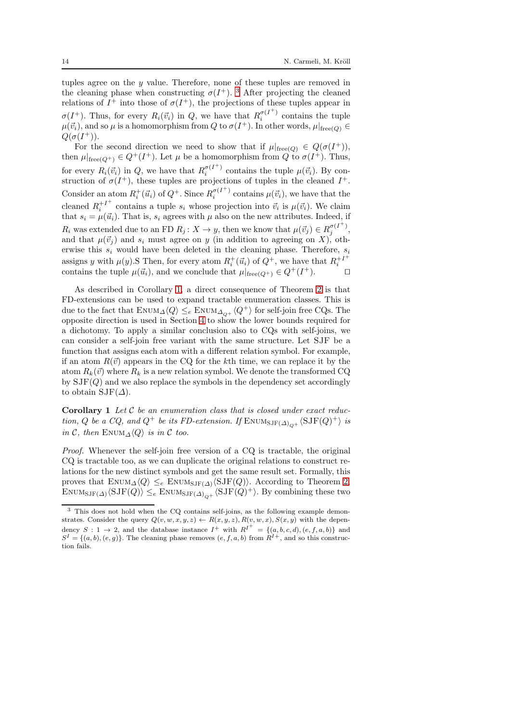tuples agree on the y value. Therefore, none of these tuples are removed in the cleaning phase when constructing  $\sigma(I^+)$ . <sup>[3](#page-13-0)</sup> After projecting the cleaned relations of  $I^+$  into those of  $\sigma(I^+)$ , the projections of these tuples appear in  $\sigma(I^+)$ . Thus, for every  $R_i(\vec{v}_i)$  in Q, we have that  $R_i^{\sigma(I^+)}$  contains the tuple  $\mu(\vec{v}_i)$ , and so  $\mu$  is a homomorphism from  $Q$  to  $\sigma(I^+)$ . In other words,  $\mu|_{\text{free}(Q)} \in$  $Q(\sigma(I^+)).$ 

For the second direction we need to show that if  $\mu|_{\text{free}(Q)} \in Q(\sigma(I^+)),$ then  $\mu|_{\text{free}(Q^+)} \in Q^+(I^+)$ . Let  $\mu$  be a homomorphism from  $Q$  to  $\sigma(I^+)$ . Thus, for every  $R_i(\vec{v}_i)$  in Q, we have that  $R_i^{\sigma(I^+)}$  contains the tuple  $\mu(\vec{v}_i)$ . By construction of  $\sigma(I^+)$ , these tuples are projections of tuples in the cleaned  $I^+$ . Consider an atom  $R_i^+(\vec{u}_i)$  of  $Q^+$ . Since  $R_i^{\sigma(I^+)}$  contains  $\mu(\vec{v}_i)$ , we have that the cleaned  $R_i^{+I^+}$  $i^{+1}$  contains a tuple  $s_i$  whose projection into  $\vec{v}_i$  is  $\mu(\vec{v}_i)$ . We claim that  $s_i = \mu(\vec{u}_i)$ . That is,  $s_i$  agrees with  $\mu$  also on the new attributes. Indeed, if  $R_i$  was extended due to an FD  $R_j: X \to y$ , then we know that  $\mu(\vec{v}_j) \in R_j^{\sigma(I^+)},$ and that  $\mu(\vec{v}_j)$  and  $s_i$  must agree on y (in addition to agreeing on X), otherwise this  $s_i$  would have been deleted in the cleaning phase. Therefore,  $s_i$ assigns y with  $\mu(y)$ . SThen, for every atom  $R_i^+(\vec{u}_i)$  of  $Q^+$ , we have that  $R_i^{+I^+}$  $\left( \begin{array}{c} \text{entat } n_i \\ \text{+} \end{array} \right)$ . □ contains the tuple  $\mu(\vec{u}_i)$ , and we conclude that  $\mu|_{\text{free}(Q^+)} \in Q^+(I^+)$ .

As described in Corollary [1,](#page-13-1) a direct consequence of Theorem [2](#page-10-0) is that FD-extensions can be used to expand tractable enumeration classes. This is due to the fact that  $\text{EWUM}_\Delta\langle Q\rangle \leq_e \text{EWUM}_{\Delta_{Q^+}}\langle Q^+\rangle$  for self-join free CQs. The opposite direction is used in Section [4](#page-15-0) to show the lower bounds required for a dichotomy. To apply a similar conclusion also to CQs with self-joins, we can consider a self-join free variant with the same structure. Let SJF be a function that assigns each atom with a different relation symbol. For example, if an atom  $R(\vec{v})$  appears in the CQ for the kth time, we can replace it by the atom  $R_k(\vec{v})$  where  $R_k$  is a new relation symbol. We denote the transformed CQ by  $\text{SJF}(Q)$  and we also replace the symbols in the dependency set accordingly to obtain  $SJF(\Delta)$ .

<span id="page-13-1"></span>Corollary 1 Let  $C$  be an enumeration class that is closed under exact reduction, Q be a CQ, and  $Q^+$  be its FD-extension. If  $\text{ENUM}_{\text{SJF}(\Delta)_{Q^+}}\langle \text{SJF}(Q)^+\rangle$  is in C, then ENUM $\triangle \langle Q \rangle$  is in C too.

Proof. Whenever the self-join free version of a CQ is tractable, the original CQ is tractable too, as we can duplicate the original relations to construct relations for the new distinct symbols and get the same result set. Formally, this proves that  $\text{EWUM}_\Delta\langle Q \rangle \leq_e \text{EWUM}_{\text{SJF}(\Delta)}\langle \text{SJF}(Q) \rangle$ . According to Theorem [2,](#page-10-0)  $\text{Enum}_{\text{SJF}(\Delta)}\langle \text{SJF}(Q)\rangle \leq_e \text{Enum}_{\text{SJF}(\Delta)_{Q^+}}\langle \text{SJF}(Q)^+\rangle.$  By combining these two

<span id="page-13-0"></span><sup>3</sup> This does not hold when the CQ contains self-joins, as the following example demonstrates. Consider the query  $Q(v, w, x, y, z) \leftarrow R(x, y, z), R(v, w, x), S(x, y)$  with the dependency  $S: 1 \to 2$ , and the database instance  $I^+$  with  $R^{I^+} = \{(a, b, c, d), (e, f, a, b)\}\$  and  $S^{I} = \{(a, b), (e, g)\}.$  The cleaning phase removes  $(e, f, a, b)$  from  $R^{I+}$ , and so this construction fails.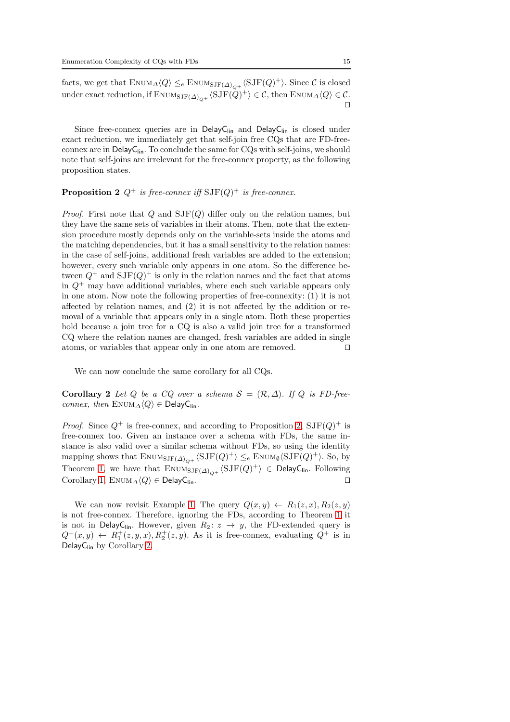Since free-connex queries are in DelayC<sub>lin</sub> and DelayC<sub>lin</sub> is closed under exact reduction, we immediately get that self-join free CQs that are FD-freeconnex are in DelayC<sub>lin</sub>. To conclude the same for CQs with self-joins, we should note that self-joins are irrelevant for the free-connex property, as the following proposition states.

## <span id="page-14-0"></span>**Proposition 2**  $Q^+$  is free-connex iff  $SJF(Q)^+$  is free-connex.

*Proof.* First note that Q and  $SJF(Q)$  differ only on the relation names, but they have the same sets of variables in their atoms. Then, note that the extension procedure mostly depends only on the variable-sets inside the atoms and the matching dependencies, but it has a small sensitivity to the relation names: in the case of self-joins, additional fresh variables are added to the extension; however, every such variable only appears in one atom. So the difference between  $Q^+$  and  $SJF(Q)^+$  is only in the relation names and the fact that atoms in  $Q^+$  may have additional variables, where each such variable appears only in one atom. Now note the following properties of free-connexity: (1) it is not affected by relation names, and (2) it is not affected by the addition or removal of a variable that appears only in a single atom. Both these properties hold because a join tree for a CQ is also a valid join tree for a transformed CQ where the relation names are changed, fresh variables are added in single atoms, or variables that appear only in one atom are removed. ⊓⊔

<span id="page-14-1"></span>We can now conclude the same corollary for all CQs.

Corollary 2 Let Q be a CQ over a schema  $S = (\mathcal{R}, \Delta)$ . If Q is FD-freeconnex, then  $\text{ENUM}_{\Delta}\langle Q \rangle \in \text{DelayC}_{\text{lin}}$ .

*Proof.* Since  $Q^+$  is free-connex, and according to Proposition [2,](#page-14-0)  $SJF(Q)^+$  is free-connex too. Given an instance over a schema with FDs, the same instance is also valid over a similar schema without FDs, so using the identity mapping shows that  $\text{Env}_{SJF(\Delta)_{Q^+}}\langle \text{SJF}(Q)^+\rangle \leq_e \text{Env}_{\emptyset} \langle \text{SJF}(Q)^+\rangle$ . So, by Theorem [1,](#page-8-2) we have that  $\text{ENUM}_{\text{SJF}(\Delta)_{Q^+}} \langle \text{SJF}(Q)^+ \rangle \in \text{DelayC}_{\text{lin}}$ . Following Corollary [1,](#page-13-1) ENUM<sub> $\Delta$ </sub> $\langle Q \rangle$  ∈ DelayC<sub>lin</sub>. □

We can now revisit Example [1.](#page-1-0) The query  $Q(x, y) \leftarrow R_1(z, x), R_2(z, y)$ is not free-connex. Therefore, ignoring the FDs, according to Theorem [1](#page-8-2) it is not in DelayC<sub>lin</sub>. However, given  $R_2: z \rightarrow y$ , the FD-extended query is  $Q^+(x,y) \leftarrow R_1^+(z,y,x), R_2^+(z,y)$ . As it is free-connex, evaluating  $Q^+$  is in DelayC<sub>lin</sub> by Corollary [2.](#page-14-1)

⊓⊔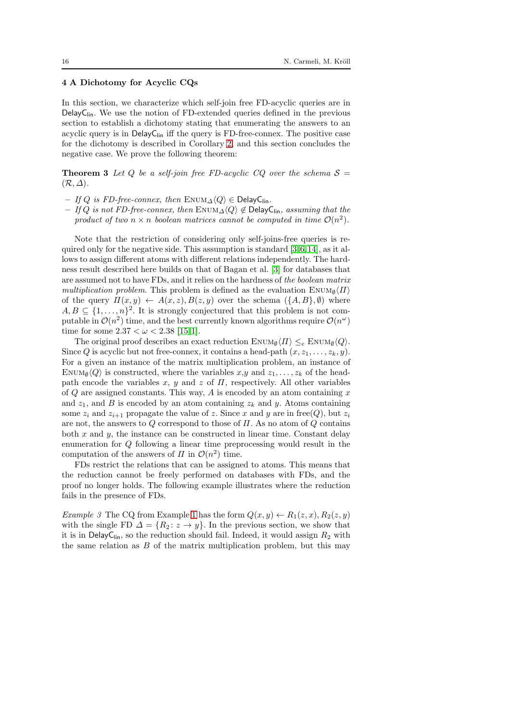## <span id="page-15-0"></span>4 A Dichotomy for Acyclic CQs

In this section, we characterize which self-join free FD-acyclic queries are in Delay $C_{lin}$ . We use the notion of FD-extended queries defined in the previous section to establish a dichotomy stating that enumerating the answers to an acyclic query is in  $\text{DelayC}_{\text{lin}}$  iff the query is FD-free-connex. The positive case for the dichotomy is described in Corollary [2,](#page-14-1) and this section concludes the negative case. We prove the following theorem:

<span id="page-15-1"></span>**Theorem 3** Let Q be a self-join free FD-acyclic CQ over the schema  $S =$  $(\mathcal{R}, \Delta).$ 

- If Q is FD-free-connex, then ENUM $\land$  $\langle Q \rangle$  ∈ DelayC<sub>lin</sub>.
- If Q is not FD-free-connex, then ENUM<sub>△</sub> $\langle Q \rangle \notin$  DelayC<sub>lin</sub>, assuming that the product of two  $n \times n$  boolean matrices cannot be computed in time  $\mathcal{O}(n^2)$ .

Note that the restriction of considering only self-joins-free queries is required only for the negative side. This assumption is standard [\[3,](#page-34-0)[6,](#page-34-2)[14\]](#page-35-0), as it allows to assign different atoms with different relations independently. The hardness result described here builds on that of Bagan et al. [\[3\]](#page-34-0) for databases that are assumed not to have FDs, and it relies on the hardness of the boolean matrix multiplication problem. This problem is defined as the evaluation  $\text{EWUM}_{\emptyset}\langle\Pi\rangle$ of the query  $\Pi(x, y) \leftarrow A(x, z), B(z, y)$  over the schema  $(\lbrace A, B \rbrace, \emptyset)$  where  $A, B \subseteq \{1, \ldots, n\}^2$ . It is strongly conjectured that this problem is not computable in  $\mathcal{O}(n^2)$  time, and the best currently known algorithms require  $\mathcal{O}(n^{\omega})$ time for some  $2.37 < \omega < 2.38$  [\[15,](#page-35-1)[1\]](#page-34-4).

The original proof describes an exact reduction  $\text{Enum}_{\emptyset} \langle \Pi \rangle \leq_e \text{Enum}_{\emptyset} \langle Q \rangle$ . Since Q is acyclic but not free-connex, it contains a head-path  $(x, z_1, \ldots, z_k, y)$ . For a given an instance of the matrix multiplication problem, an instance of ENUM<sub>0</sub> $\langle Q \rangle$  is constructed, where the variables x,y and  $z_1, \ldots, z_k$  of the headpath encode the variables x, y and z of  $\Pi$ , respectively. All other variables of  $Q$  are assigned constants. This way,  $A$  is encoded by an atom containing  $x$ and  $z_1$ , and B is encoded by an atom containing  $z_k$  and y. Atoms containing some  $z_i$  and  $z_{i+1}$  propagate the value of z. Since x and y are in free(Q), but  $z_i$ are not, the answers to  $Q$  correspond to those of  $\Pi$ . As no atom of  $Q$  contains both  $x$  and  $y$ , the instance can be constructed in linear time. Constant delay enumeration for Q following a linear time preprocessing would result in the computation of the answers of  $\Pi$  in  $\mathcal{O}(n^2)$  time.

FDs restrict the relations that can be assigned to atoms. This means that the reduction cannot be freely performed on databases with FDs, and the proof no longer holds. The following example illustrates where the reduction fails in the presence of FDs.

Example 3 The CQ from Example [1](#page-1-0) has the form  $Q(x, y) \leftarrow R_1(z, x), R_2(z, y)$ with the single FD  $\Delta = \{R_2 : z \to y\}$ . In the previous section, we show that it is in DelayC<sub>lin</sub>, so the reduction should fail. Indeed, it would assign  $R_2$  with the same relation as B of the matrix multiplication problem, but this may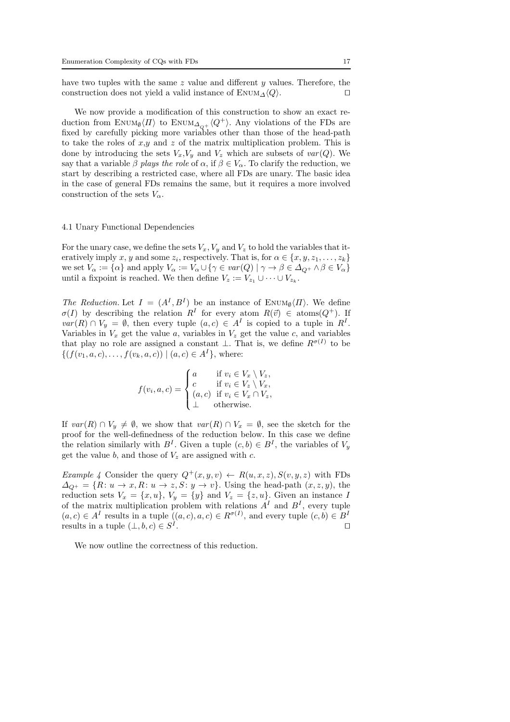have two tuples with the same z value and different y values. Therefore, the construction does not yield a valid instance of ENUM<sub> $\Delta$ </sub> $\langle Q \rangle$ . □

We now provide a modification of this construction to show an exact reduction from ENUM<sub>0</sub> $\langle \Pi \rangle$  to ENUM<sub> $\Delta_{\Omega^+} \langle Q^+ \rangle$ . Any violations of the FDs are</sub> fixed by carefully picking more variables other than those of the head-path to take the roles of  $x,y$  and z of the matrix multiplication problem. This is done by introducing the sets  $V_x, V_y$  and  $V_z$  which are subsets of  $var(Q)$ . We say that a variable  $\beta$  plays the role of  $\alpha$ , if  $\beta \in V_{\alpha}$ . To clarify the reduction, we start by describing a restricted case, where all FDs are unary. The basic idea in the case of general FDs remains the same, but it requires a more involved construction of the sets  $V_{\alpha}$ .

#### 4.1 Unary Functional Dependencies

For the unary case, we define the sets  $V_x$ ,  $V_y$  and  $V_z$  to hold the variables that iteratively imply x, y and some  $z_i$ , respectively. That is, for  $\alpha \in \{x, y, z_1, \ldots, z_k\}$ we set  $V_{\alpha} := {\alpha}$  and apply  $V_{\alpha} := V_{\alpha} \cup {\gamma \in var(Q) | \gamma \to \beta \in \Delta_{Q^+} \land \beta \in V_{\alpha}}$ until a fixpoint is reached. We then define  $V_z := V_{z_1} \cup \cdots \cup V_{z_k}$ .

The Reduction. Let  $I = (A<sup>I</sup>, B<sup>I</sup>)$  be an instance of ENUM<sub>0</sub> $\langle \Pi \rangle$ . We define  $\sigma(I)$  by describing the relation  $R^I$  for every atom  $R(\vec{v}) \in \text{atoms}(Q^+)$ . If  $var(R) \cap V_y = \emptyset$ , then every tuple  $(a, c) \in A<sup>I</sup>$  is copied to a tuple in  $R<sup>I</sup>$ . Variables in  $V_x$  get the value a, variables in  $V_z$  get the value c, and variables that play no role are assigned a constant  $\perp$ . That is, we define  $R^{\sigma(I)}$  to be  $\{(f(v_1, a, c), \ldots, f(v_k, a, c)) \mid (a, c) \in A^I\}$ , where:

$$
f(v_i, a, c) = \begin{cases} a & \text{if } v_i \in V_x \setminus V_z, \\ c & \text{if } v_i \in V_z \setminus V_x, \\ (a, c) & \text{if } v_i \in V_x \cap V_z, \\ \perp & \text{otherwise.} \end{cases}
$$

If  $var(R) \cap V_y \neq \emptyset$ , we show that  $var(R) \cap V_x = \emptyset$ , see the sketch for the proof for the well-definedness of the reduction below. In this case we define the relation similarly with  $B<sup>I</sup>$ . Given a tuple  $(c, b) \in B<sup>I</sup>$ , the variables of  $V_y$ get the value b, and those of  $V_z$  are assigned with c.

Example 4 Consider the query  $Q^+(x, y, v) \leftarrow R(u, x, z), S(v, y, z)$  with FDs  $\Delta_{Q^+} = \{R: u \to x, R: u \to z, S: y \to v\}.$  Using the head-path  $(x, z, y)$ , the reduction sets  $V_x = \{x, u\}, V_y = \{y\}$  and  $V_z = \{z, u\}.$  Given an instance I of the matrix multiplication problem with relations  $A<sup>I</sup>$  and  $B<sup>I</sup>$ , every tuple  $(a, c) \in A<sup>I</sup>$  results in a tuple  $((a, c), a, c) \in R^{\sigma(I)}$ , and every tuple  $(c, b) \in B<sup>I</sup>$ results in a tuple  $(\perp, b, c) \in S^I$ . ⊓⊔

We now outline the correctness of this reduction.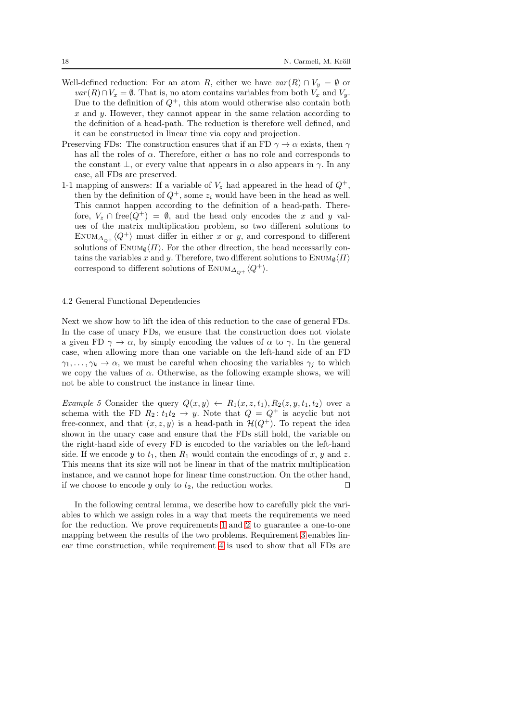- Well-defined reduction: For an atom R, either we have  $var(R) \cap V_y = \emptyset$  or  $var(R) \cap V_x = \emptyset$ . That is, no atom contains variables from both  $V_x$  and  $V_y$ . Due to the definition of  $Q^+$ , this atom would otherwise also contain both  $x$  and  $y$ . However, they cannot appear in the same relation according to the definition of a head-path. The reduction is therefore well defined, and it can be constructed in linear time via copy and projection.
- Preserving FDs: The construction ensures that if an FD  $\gamma \to \alpha$  exists, then  $\gamma$ has all the roles of  $\alpha$ . Therefore, either  $\alpha$  has no role and corresponds to the constant  $\perp$ , or every value that appears in  $\alpha$  also appears in  $\gamma$ . In any case, all FDs are preserved.
- 1-1 mapping of answers: If a variable of  $V_z$  had appeared in the head of  $Q^+$ , then by the definition of  $Q^+$ , some  $z_i$  would have been in the head as well. This cannot happen according to the definition of a head-path. Therefore,  $V_z \cap \text{free}(Q^+) = \emptyset$ , and the head only encodes the x and y values of the matrix multiplication problem, so two different solutions to ENUM<sub> $\Delta_{\Omega^+}\langle Q^+ \rangle$  must differ in either x or y, and correspond to different</sub> solutions of  $\text{Enum}_{\emptyset}\langle\Pi\rangle$ . For the other direction, the head necessarily contains the variables x and y. Therefore, two different solutions to  $\text{EWUM}_{\emptyset}\langle\Pi\rangle$ correspond to different solutions of ENUM<sub> $\Delta_{\alpha+} \langle Q^+ \rangle$ .</sub>

## 4.2 General Functional Dependencies

Next we show how to lift the idea of this reduction to the case of general FDs. In the case of unary FDs, we ensure that the construction does not violate a given FD  $\gamma \to \alpha$ , by simply encoding the values of  $\alpha$  to  $\gamma$ . In the general case, when allowing more than one variable on the left-hand side of an FD  $\gamma_1, \ldots, \gamma_k \to \alpha$ , we must be careful when choosing the variables  $\gamma_i$  to which we copy the values of  $\alpha$ . Otherwise, as the following example shows, we will not be able to construct the instance in linear time.

Example 5 Consider the query  $Q(x, y) \leftarrow R_1(x, z, t_1), R_2(z, y, t_1, t_2)$  over a schema with the FD  $R_2: t_1t_2 \rightarrow y$ . Note that  $Q = Q^+$  is acyclic but not free-connex, and that  $(x, z, y)$  is a head-path in  $\mathcal{H}(Q^+)$ . To repeat the idea shown in the unary case and ensure that the FDs still hold, the variable on the right-hand side of every FD is encoded to the variables on the left-hand side. If we encode y to  $t_1$ , then  $R_1$  would contain the encodings of x, y and z. This means that its size will not be linear in that of the matrix multiplication instance, and we cannot hope for linear time construction. On the other hand, if we choose to encode y only to  $t_2$ , the reduction works. □

In the following central lemma, we describe how to carefully pick the variables to which we assign roles in a way that meets the requirements we need for the reduction. We prove requirements [1](#page-18-0) and [2](#page-18-1) to guarantee a one-to-one mapping between the results of the two problems. Requirement [3](#page-18-2) enables linear time construction, while requirement [4](#page-18-3) is used to show that all FDs are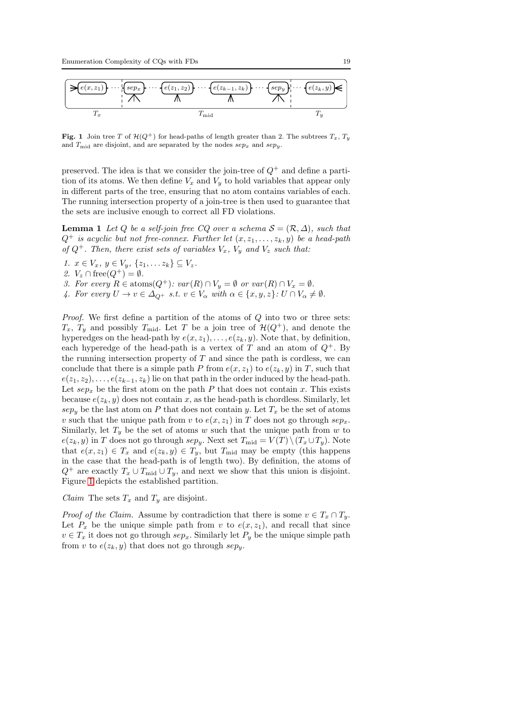

<span id="page-18-4"></span>Fig. 1 Join tree T of  $\mathcal{H}(Q^+)$  for head-paths of length greater than 2. The subtrees  $T_x$ ,  $T_y$ and  $T_{\text{mid}}$  are disjoint, and are separated by the nodes  $sep_x$  and  $sep_y$ .

preserved. The idea is that we consider the join-tree of  $Q^+$  and define a partition of its atoms. We then define  $V_x$  and  $V_y$  to hold variables that appear only in different parts of the tree, ensuring that no atom contains variables of each. The running intersection property of a join-tree is then used to guarantee that the sets are inclusive enough to correct all FD violations.

<span id="page-18-5"></span>**Lemma 1** Let Q be a self-join free CQ over a schema  $S = (\mathcal{R}, \Delta)$ , such that  $Q^+$  is acyclic but not free-connex. Further let  $(x, z_1, \ldots, z_k, y)$  be a head-path of  $Q^+$ . Then, there exist sets of variables  $V_x$ ,  $V_y$  and  $V_z$  such that:

<span id="page-18-1"></span><span id="page-18-0"></span>1.  $x \in V_x$ ,  $y \in V_y$ ,  $\{z_1, \ldots z_k\} \subseteq V_z$ .

<span id="page-18-2"></span>2.  $V_z \cap \text{free}(Q^+) = \emptyset$ .

- <span id="page-18-3"></span>3. For every  $R \in \text{atoms}(Q^+)$ :  $var(R) \cap V_y = \emptyset$  or  $var(R) \cap V_x = \emptyset$ .
- 4. For every  $U \to v \in \Delta_{Q^+}$  s.t.  $v \in V_\alpha$  with  $\alpha \in \{x, y, z\}$ :  $U \cap V_\alpha \neq \emptyset$ .

Proof. We first define a partition of the atoms of Q into two or three sets:  $T_x$ ,  $T_y$  and possibly  $T_{mid}$ . Let T be a join tree of  $\mathcal{H}(Q^+)$ , and denote the hyperedges on the head-path by  $e(x, z_1), \ldots, e(z_k, y)$ . Note that, by definition, each hyperedge of the head-path is a vertex of T and an atom of  $Q^+$ . By the running intersection property of  $T$  and since the path is cordless, we can conclude that there is a simple path P from  $e(x, z_1)$  to  $e(z_k, y)$  in T, such that  $e(z_1, z_2), \ldots, e(z_{k-1}, z_k)$  lie on that path in the order induced by the head-path. Let  $sep_x$  be the first atom on the path P that does not contain x. This exists because  $e(z_k, y)$  does not contain x, as the head-path is chordless. Similarly, let  $sep<sub>y</sub>$  be the last atom on P that does not contain y. Let  $T<sub>x</sub>$  be the set of atoms v such that the unique path from v to  $e(x, z_1)$  in T does not go through  $sep_x$ . Similarly, let  $T_y$  be the set of atoms w such that the unique path from w to  $e(z_k, y)$  in T does not go through sepy. Next set  $T_{mid} = V(T) \setminus (T_x \cup T_y)$ . Note that  $e(x, z_1) \in T_x$  and  $e(z_k, y) \in T_y$ , but  $T_{mid}$  may be empty (this happens in the case that the head-path is of length two). By definition, the atoms of  $Q^+$  are exactly  $T_x \cup T_{mid} \cup T_y$ , and next we show that this union is disjoint. Figure [1](#page-18-4) depicts the established partition.

Claim The sets  $T_x$  and  $T_y$  are disjoint.

*Proof of the Claim.* Assume by contradiction that there is some  $v \in T_x \cap T_y$ . Let  $P_x$  be the unique simple path from v to  $e(x, z_1)$ , and recall that since  $v \in T_x$  it does not go through  $sep_x$ . Similarly let  $P_y$  be the unique simple path from v to  $e(z_k, y)$  that does not go through  $sep_y$ .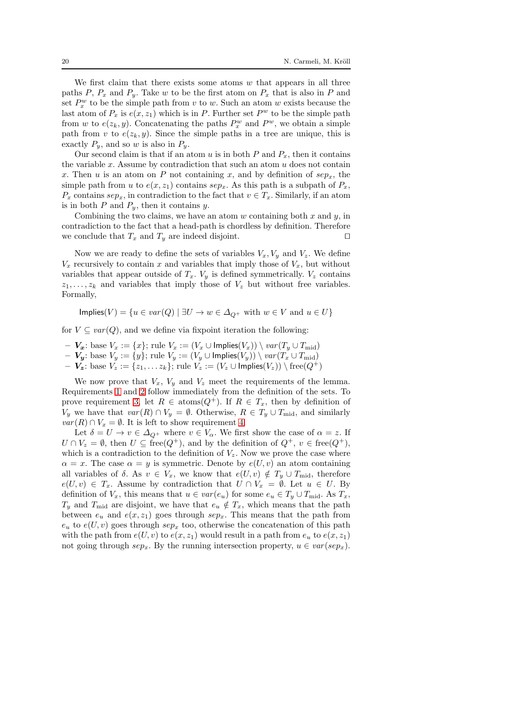We first claim that there exists some atoms  $w$  that appears in all three paths P,  $P_x$  and  $P_y$ . Take w to be the first atom on  $P_x$  that is also in P and set  $P_x^w$  to be the simple path from v to w. Such an atom w exists because the last atom of  $P_x$  is  $e(x, z_1)$  which is in P. Further set  $P^w$  to be the simple path from w to  $e(z_k, y)$ . Concatenating the paths  $P_x^w$  and  $P^w$ , we obtain a simple path from v to  $e(z_k, y)$ . Since the simple paths in a tree are unique, this is exactly  $P_y$ , and so w is also in  $P_y$ .

Our second claim is that if an atom u is in both  $P$  and  $P_x$ , then it contains the variable  $x$ . Assume by contradiction that such an atom  $u$  does not contain x. Then u is an atom on P not containing x, and by definition of  $sep_x$ , the simple path from u to  $e(x, z_1)$  contains  $sep_x$ . As this path is a subpath of  $P_x$ ,  $P_x$  contains  $sep_x$ , in contradiction to the fact that  $v \in T_x$ . Similarly, if an atom is in both  $P$  and  $P_y$ , then it contains  $y$ .

Combining the two claims, we have an atom  $w$  containing both  $x$  and  $y$ , in contradiction to the fact that a head-path is chordless by definition. Therefore we conclude that  $T_x$  and  $T_y$  are indeed disjoint. □

Now we are ready to define the sets of variables  $V_x, V_y$  and  $V_z$ . We define  $V_x$  recursively to contain x and variables that imply those of  $V_x$ , but without variables that appear outside of  $T_x$ .  $V_y$  is defined symmetrically.  $V_z$  contains  $z_1, \ldots, z_k$  and variables that imply those of  $V_z$  but without free variables. Formally,

Implies(V) = { $u \in var(Q) | \exists U \rightarrow w \in \Delta_{Q^+}$  with  $w \in V$  and  $u \in U$ }

for  $V \subseteq var(Q)$ , and we define via fixpoint iteration the following:

- $V_x$ : base  $V_x := \{x\}$ ; rule  $V_x := (V_x \cup \text{Implies}(V_x)) \setminus var(T_y \cup T_{mid})$
- $−\boldsymbol{V_y}:$  base  $V_y := \{y\}$ ; rule  $V_y := (V_y \cup \mathsf{Implies}(V_y)) \setminus \mathit{var}(T_x \cup T_\text{mid})$
- $\boldsymbol{V_z}$ : base  $V_z := \{z_1, \ldots z_k\}$ ; rule  $V_z := (V_z \cup \textsf{Implies}(V_z)) \setminus \text{free}(Q^+)$

We now prove that  $V_x$ ,  $V_y$  and  $V_z$  meet the requirements of the lemma. Requirements [1](#page-18-0) and [2](#page-18-1) follow immediately from the definition of the sets. To prove requirement [3,](#page-18-2) let  $R \in \text{atoms}(Q^+)$ . If  $R \in T_x$ , then by definition of  $V_y$  we have that  $var(R) \cap V_y = \emptyset$ . Otherwise,  $R \in T_y \cup T_{mid}$ , and similarly  $var(R) \cap V_x = \emptyset$ . It is left to show requirement [4.](#page-18-3)

Let  $\delta = U \to v \in \Delta_{Q^+}$  where  $v \in V_\alpha$ . We first show the case of  $\alpha = z$ . If  $U \cap V_z = \emptyset$ , then  $U \subseteq free(Q^+)$ , and by the definition of  $Q^+$ ,  $v \in free(Q^+)$ , which is a contradiction to the definition of  $V_z$ . Now we prove the case where  $\alpha = x$ . The case  $\alpha = y$  is symmetric. Denote by  $e(U, v)$  an atom containing all variables of  $\delta$ . As  $v \in V_x$ , we know that  $e(U, v) \notin T_u \cup T_{mid}$ , therefore  $e(U, v) \in T_x$ . Assume by contradiction that  $U \cap V_x = \emptyset$ . Let  $u \in U$ . By definition of  $V_x$ , this means that  $u \in var(e_u)$  for some  $e_u \in T_y \cup T_{mid}$ . As  $T_x$ ,  $T_y$  and  $T_{\text{mid}}$  are disjoint, we have that  $e_u \notin T_x$ , which means that the path between  $e_u$  and  $e(x, z_1)$  goes through  $\sup_x$ . This means that the path from  $e_u$  to  $e(U, v)$  goes through sep<sub>x</sub> too, otherwise the concatenation of this path with the path from  $e(U, v)$  to  $e(x, z_1)$  would result in a path from  $e_u$  to  $e(x, z_1)$ not going through  $sep_x$ . By the running intersection property,  $u \in var(sep_x)$ .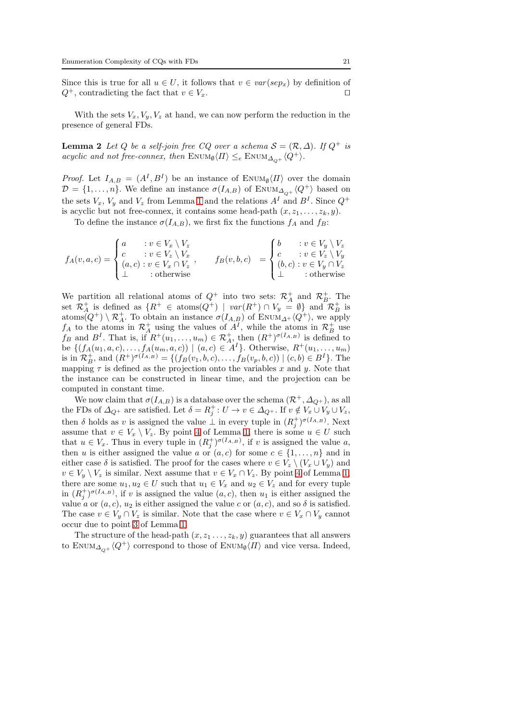Since this is true for all  $u \in U$ , it follows that  $v \in var(sep_x)$  by definition of  $Q^+$ , contradicting the fact that  $v \in V_x$ . □

<span id="page-20-0"></span>With the sets  $V_x, V_y, V_z$  at hand, we can now perform the reduction in the presence of general FDs.

**Lemma 2** Let Q be a self-join free CQ over a schema  $S = (\mathcal{R}, \Delta)$ . If  $Q^+$  is acyclic and not free-connex, then  $\text{ENDM}_{\emptyset} \langle \Pi \rangle \leq_e \text{ENDM}_{\Delta_{\Omega^+}} \langle Q^+ \rangle$ .

*Proof.* Let  $I_{A,B} = (A^I, B^I)$  be an instance of  $\text{Enum}_{\emptyset} \langle \Pi \rangle$  over the domain  $\mathcal{D} = \{1, \ldots, n\}$ . We define an instance  $\sigma(I_{A,B})$  of ENUM $_{\Delta_{O+}}\langle Q^+\rangle$  based on the sets  $V_x$ ,  $V_y$  and  $V_z$  from Lemma [1](#page-18-5) and the relations  $A<sup>I</sup>$  and  $B<sup>I</sup>$ . Since  $Q<sup>+</sup>$ is acyclic but not free-connex, it contains some head-path  $(x, z_1, \ldots, z_k, y)$ .

To define the instance  $\sigma(I_{A,B})$ , we first fix the functions  $f_A$  and  $f_B$ :

$$
f_A(v, a, c) = \begin{cases} a & : v \in V_x \setminus V_z \\ c & : v \in V_z \setminus V_x \\ (a, c) : v \in V_x \cap V_z \end{cases}, \qquad f_B(v, b, c) = \begin{cases} b & : v \in V_y \setminus V_z \\ c & : v \in V_z \setminus V_y \\ (b, c) : v \in V_y \cap V_z \\ \bot & : \text{otherwise} \end{cases}
$$

We partition all relational atoms of  $Q^+$  into two sets:  $\mathcal{R}^+_A$  and  $\mathcal{R}^+_B$ . The set  $\mathcal{R}_A^+$  is defined as  $\{R^+ \in \text{atoms}(Q^+) \mid \text{var}(R^+) \cap V_y = \emptyset\}$  and  $\mathcal{R}_B^+$  is atoms $(Q^+) \setminus \mathcal{R}_A^+$ . To obtain an instance  $\sigma(I_{A,B})$  of ENUM<sub> $\Delta^+ \langle Q^+ \rangle$ </sub>, we apply  $f_A$  to the atoms in  $\mathcal{R}_A^+$  using the values of  $A^I$ , while the atoms in  $\mathcal{R}_B^+$  use  $f_B$  and  $B^I$ . That is, if  $R^+(u_1,\ldots,u_m) \in \mathcal{R}_A^+$ , then  $(R^+)^{\sigma(I_{A,B})}$  is defined to be  $\{(f_A(u_1, a, c), \ldots, f_A(u_m, a, c)) \mid (a, c) \in A^I\}$ . Otherwise,  $R^+(u_1, \ldots, u_m)$ is in  $\mathcal{R}_{B}^{+}$ , and  $(R^{+})^{\sigma(I_{A,B})} = \{(f_{B}(v_{1},b,c),...,f_{B}(v_{p},b,c)) | (c,b) \in B^{I}\}.$  The mapping  $\tau$  is defined as the projection onto the variables x and y. Note that the instance can be constructed in linear time, and the projection can be computed in constant time.

We now claim that  $\sigma(I_{A,B})$  is a database over the schema  $(\mathcal{R}^+, \Delta_{Q^+})$ , as all the FDs of  $\Delta_{Q^+}$  are satisfied. Let  $\delta = R_j^+ : U \to v \in \Delta_{Q^+}$ . If  $v \notin V_x \cup V_y \cup V_z$ , then  $\delta$  holds as v is assigned the value  $\perp$  in every tuple in  $(R_j^+)^{\sigma(I_{A,B})}$ . Next assume that  $v \in V_x \setminus V_z$ . By point [4](#page-18-3) of Lemma [1,](#page-18-5) there is some  $u \in U$  such that  $u \in V_x$ . Thus in every tuple in  $(R_j^{\dagger})^{\sigma(I_{A,B})}$ , if v is assigned the value a, then u is either assigned the value a or  $(a, c)$  for some  $c \in \{1, \ldots, n\}$  and in either case  $\delta$  is satisfied. The proof for the cases where  $v \in V_z \setminus (V_x \cup V_y)$  and  $v \in V_u \setminus V_z$  is similar. Next assume that  $v \in V_x \cap V_z$ . By point [4](#page-18-3) of Lemma [1,](#page-18-5) there are some  $u_1, u_2 \in U$  such that  $u_1 \in V_x$  and  $u_2 \in V_z$  and for every tuple in  $(R_j^+)^{\sigma(I_{A,B})}$ , if v is assigned the value  $(a, c)$ , then  $u_1$  is either assigned the value a or  $(a, c)$ ,  $u_2$  is either assigned the value c or  $(a, c)$ , and so  $\delta$  is satisfied. The case  $v \in V_y \cap V_z$  is similar. Note that the case where  $v \in V_x \cap V_y$  cannot occur due to point [3](#page-18-2) of Lemma [1.](#page-18-5)

The structure of the head-path  $(x, z_1, \ldots, z_k, y)$  guarantees that all answers to ENUM<sub> $\Delta_{\Omega^+}\langle Q^+\rangle$  correspond to those of ENUM<sub>0</sub> $\langle \Pi \rangle$  and vice versa. Indeed,</sub>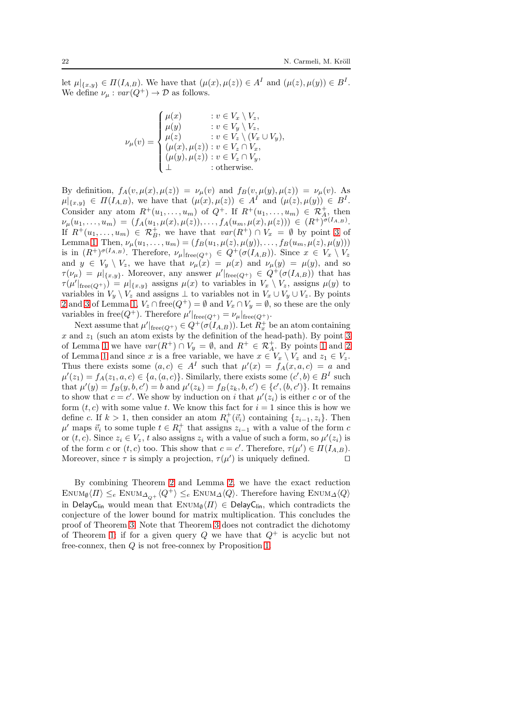let  $\mu|_{\{x,y\}} \in \Pi(I_{A,B})$ . We have that  $(\mu(x), \mu(z)) \in A^{I}$  and  $(\mu(z), \mu(y)) \in B^{I}$ . We define  $\nu_{\mu}: var(Q^+) \to \mathcal{D}$  as follows.

$$
\nu_{\mu}(v) = \begin{cases}\n\mu(x) & : v \in V_x \setminus V_z, \\
\mu(y) & : v \in V_y \setminus V_z, \\
\mu(z) & : v \in V_z \setminus (V_x \cup V_y), \\
(\mu(x), \mu(z)) & : v \in V_z \cap V_x, \\
(\mu(y), \mu(z)) & : v \in V_z \cap V_y, \\
\perp & : \text{otherwise.} \n\end{cases}
$$

By definition,  $f_A(v, \mu(x), \mu(z)) = \nu_\mu(v)$  and  $f_B(v, \mu(y), \mu(z)) = \nu_\mu(v)$ . As  $\mu|_{\{x,y\}} \in \Pi(I_{A,B}),$  we have that  $(\mu(x), \mu(z)) \in A^{I}$  and  $(\mu(z), \mu(y)) \in B^{I}.$ Consider any atom  $R^+(u_1,\ldots,u_m)$  of  $Q^+$ . If  $R^+(u_1,\ldots,u_m) \in \mathcal{R}^+_{A}$ , then  $\nu_{\mu}(u_1,\ldots,u_m) = (f_A(u_1,\mu(x),\mu(z)),\ldots,f_A(u_m,\mu(x),\mu(z))) \in (R^+)^{\sigma(I_{A,B})}.$ If  $R^+(u_1,\ldots,u_m) \in \mathcal{R}_B^+$ , we have that  $var(R^+) \cap V_x = \emptyset$  by point [3](#page-18-2) of Lemma [1.](#page-18-5) Then,  $\nu_{\mu}(u_1, \ldots, u_m) = (f_B(u_1, \mu(z), \mu(y)), \ldots, f_B(u_m, \mu(z), \mu(y)))$ is in  $(R^{\dagger})^{\sigma(I_{A,B})}$ . Therefore,  $\nu_{\mu}|_{\text{free}(Q^{\dagger})} \in Q^{\dagger}(\sigma(I_{A,B}))$ . Since  $x \in V_x \setminus V_z$ and  $y \in V_y \setminus V_z$ , we have that  $\nu_\mu(x) = \mu(x)$  and  $\nu_\mu(y) = \mu(y)$ , and so  $\tau(\nu_{\mu}) = \mu|_{\{x,y\}}$ . Moreover, any answer  $\mu'|_{\text{free}(Q^+)} \in Q^+(\sigma(I_{A,B}))$  that has  $\tau(\mu'|_{\text{free}(Q^+)}) = \mu|_{\{x,y\}}$  assigns  $\mu(x)$  to variables in  $V_x \setminus V_z$ , assigns  $\mu(y)$  to variables in  $V_y \setminus V_z$  and assigns  $\perp$  to variables not in  $V_x \cup V_y \cup V_z$ . By points [2](#page-18-1) and [3](#page-18-2) of Lemma [1,](#page-18-5)  $V_z \cap \text{free}(Q^+) = \emptyset$  and  $V_x \cap V_y = \emptyset$ , so these are the only variables in free( $Q^+$ ). Therefore  $\mu'|_{\text{free}(Q^+)} = \nu_\mu|_{\text{free}(Q^+)}$ .

Next assume that  $\mu'|_{\text{free}(Q^+)} \in Q^+(\sigma(I_{A,B}))$ . Let  $R_x^+$  be an atom containing x and  $z_1$  (such an atom exists by the definition of the head-path). By point [3](#page-18-2) of Lemma [1](#page-18-0) we have  $var(R^+) \cap V_y = \emptyset$ , and  $R^+ \in \mathcal{R}_A^+$ . By points 1 and [2](#page-18-1) of Lemma [1](#page-18-5) and since x is a free variable, we have  $x \in V_x \setminus V_z$  and  $z_1 \in V_z$ . Thus there exists some  $(a, c) \in A<sup>I</sup>$  such that  $\mu'(x) = f<sub>A</sub>(x, a, c) = a$  and  $\mu'(z_1) = f_A(z_1, a, c) \in \{a, (a, c)\}\.$  Similarly, there exists some  $(c', b) \in B<sup>I</sup>$  such that  $\mu'(y) = f_B(y, b, c') = b$  and  $\mu'(z_k) = f_B(z_k, b, c') \in \{c', (b, c')\}$ . It remains to show that  $c = c'$ . We show by induction on i that  $\mu'(z_i)$  is either c or of the form  $(t, c)$  with some value t. We know this fact for  $i = 1$  since this is how we define c. If  $k > 1$ , then consider an atom  $R_i^+(\vec{v}_i)$  containing  $\{z_{i-1}, z_i\}$ . Then  $\mu'$  maps  $\vec{v}_i$  to some tuple  $t \in R_i^+$  that assigns  $z_{i-1}$  with a value of the form c or  $(t, c)$ . Since  $z_i \in V_z$ , t also assigns  $z_i$  with a value of such a form, so  $\mu'(z_i)$  is of the form c or  $(t, c)$  too. This show that  $c = c'$ . Therefore,  $\tau(\mu') \in \Pi(I_{A,B})$ . Moreover, since  $\tau$  is simply a projection,  $\tau(\mu')$  is uniquely defined.  $\Box$ 

By combining Theorem [2](#page-10-0) and Lemma [2,](#page-20-0) we have the exact reduction  $\text{Enum}_{\emptyset}(\Pi) \leq_e \text{Enum}_{\Delta_{\Omega^+}}\langle Q^+\rangle \leq_e \text{Enum}_{\Delta}\langle Q\rangle.$  Therefore having  $\text{Enum}_{\Delta}\langle Q\rangle$ in DelayC<sub>lin</sub> would mean that  $\text{EnvM}_{\emptyset}\langle\Pi\rangle \in \text{DelayC}_{\text{lin}}$ , which contradicts the conjecture of the lower bound for matrix multiplication. This concludes the proof of Theorem [3.](#page-15-1) Note that Theorem [3](#page-15-1) does not contradict the dichotomy of Theorem [1:](#page-8-2) if for a given query Q we have that  $Q^+$  is acyclic but not free-connex, then Q is not free-connex by Proposition [1.](#page-9-0)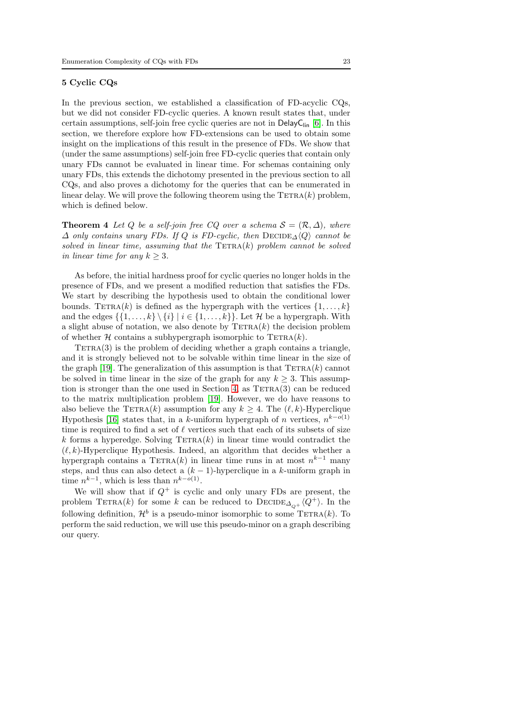## <span id="page-22-0"></span>5 Cyclic CQs

In the previous section, we established a classification of FD-acyclic CQs, but we did not consider FD-cyclic queries. A known result states that, under certain assumptions, self-join free cyclic queries are not in  $\textsf{DelayC}_{\textsf{lin}}$  [\[6\]](#page-34-2). In this section, we therefore explore how FD-extensions can be used to obtain some insight on the implications of this result in the presence of FDs. We show that (under the same assumptions) self-join free FD-cyclic queries that contain only unary FDs cannot be evaluated in linear time. For schemas containing only unary FDs, this extends the dichotomy presented in the previous section to all CQs, and also proves a dichotomy for the queries that can be enumerated in linear delay. We will prove the following theorem using the  $TETRA(k)$  problem, which is defined below.

<span id="page-22-2"></span>**Theorem 4** Let Q be a self-join free CQ over a schema  $S = (\mathcal{R}, \Delta)$ , where  $\Delta$  only contains unary FDs. If Q is FD-cyclic, then  $\text{DECIDE}_{\Delta}\langle Q \rangle$  cannot be solved in linear time, assuming that the  $TETRA(k)$  problem cannot be solved in linear time for any  $k > 3$ .

As before, the initial hardness proof for cyclic queries no longer holds in the presence of FDs, and we present a modified reduction that satisfies the FDs. We start by describing the hypothesis used to obtain the conditional lower bounds. TETRA(k) is defined as the hypergraph with the vertices  $\{1, \ldots, k\}$ and the edges  $\{\{1,\ldots,k\}\setminus\{i\} | i \in \{1,\ldots,k\}\}\.$  Let H be a hypergraph. With a slight abuse of notation, we also denote by  $TETRA(k)$  the decision problem of whether  $H$  contains a subhypergraph isomorphic to TETRA $(k)$ .

 $TETRA(3)$  is the problem of deciding whether a graph contains a triangle, and it is strongly believed not to be solvable within time linear in the size of the graph [19]. The generalization of this assumption is that  $TETRA(k)$  cannot be solved in time linear in the size of the graph for any  $k \geq 3$ . This assump-tion is stronger than the one used in Section [4,](#page-15-0) as  $TETRA(3)$  can be reduced to the matrix multiplication problem [19]. However, we do have reasons to also believe the TETRA(k) assumption for any  $k \geq 4$ . The  $(\ell, k)$ -Hyperclique Hypothesis [16] states that, in a k-uniform hypergraph of n vertices,  $n^{k-o(1)}$ time is required to find a set of  $\ell$  vertices such that each of its subsets of size k forms a hyperedge. Solving  $TETRA(k)$  in linear time would contradict the  $(\ell, k)$ -Hyperclique Hypothesis. Indeed, an algorithm that decides whether a hypergraph contains a TETRA(k) in linear time runs in at most  $n^{k-1}$  many steps, and thus can also detect a  $(k-1)$ -hyperclique in a k-uniform graph in time  $n^{k-1}$ , which is less than  $n^{k-o(1)}$ .

<span id="page-22-1"></span>We will show that if  $Q^+$  is cyclic and only unary FDs are present, the problem TETRA(k) for some k can be reduced to  $\text{DECIDE}_{\Delta_{\text{Q+}}} \langle Q^+ \rangle$ . In the following definition,  $\mathcal{H}^b$  is a pseudo-minor isomorphic to some TETRA(k). To perform the said reduction, we will use this pseudo-minor on a graph describing our query.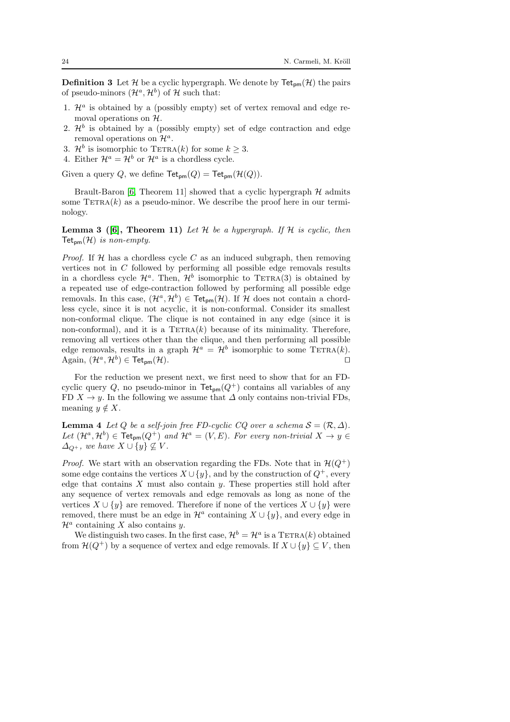**Definition 3** Let H be a cyclic hypergraph. We denote by  $\text{Tet}_{\text{pm}}(\mathcal{H})$  the pairs of pseudo-minors  $(\mathcal{H}^a, \mathcal{H}^b)$  of H such that:

- 1.  $\mathcal{H}^a$  is obtained by a (possibly empty) set of vertex removal and edge removal operations on  $H$ .
- 2.  $\mathcal{H}^b$  is obtained by a (possibly empty) set of edge contraction and edge removal operations on  $\mathcal{H}^a$ .
- 3.  $\mathcal{H}^b$  is isomorphic to TETRA(k) for some  $k \geq 3$ .
- 4. Either  $\mathcal{H}^a = \mathcal{H}^b$  or  $\mathcal{H}^a$  is a chordless cycle.

Given a query Q, we define  $\mathsf{Tet}_{\mathsf{mm}}(Q) = \mathsf{Tet}_{\mathsf{mm}}(\mathcal{H}(Q)).$ 

Brault-Baron [\[6,](#page-34-2) Theorem 11] showed that a cyclic hypergraph  $H$  admits some  $TETRA(k)$  as a pseudo-minor. We describe the proof here in our terminology.

**Lemma 3** ([\[6\]](#page-34-2), Theorem 11) Let  $H$  be a hypergraph. If  $H$  is cyclic, then  $\mathsf{Tet}_{\mathsf{nm}}(\mathcal{H})$  is non-empty.

*Proof.* If  $H$  has a chordless cycle C as an induced subgraph, then removing vertices not in C followed by performing all possible edge removals results in a chordless cycle  $\mathcal{H}^a$ . Then,  $\mathcal{H}^b$  isomorphic to TETRA(3) is obtained by a repeated use of edge-contraction followed by performing all possible edge removals. In this case,  $(\mathcal{H}^a, \mathcal{H}^b) \in \text{Tet}_{pm}(\mathcal{H})$ . If H does not contain a chordless cycle, since it is not acyclic, it is non-conformal. Consider its smallest non-conformal clique. The clique is not contained in any edge (since it is non-conformal), and it is a  $TETRA(k)$  because of its minimality. Therefore, removing all vertices other than the clique, and then performing all possible edge removals, results in a graph  $\mathcal{H}^a = \mathcal{H}^b$  isomorphic to some TETRA(k). Again,  $(\mathcal{H}^a, \mathcal{H}^b) \in \mathsf{Tet}_{\mathsf{pm}}(\mathcal{H}).$ 

For the reduction we present next, we first need to show that for an FDcyclic query Q, no pseudo-minor in  $\text{Tet}_{\text{pm}}(Q^+)$  contains all variables of any FD  $X \to y$ . In the following we assume that  $\Delta$  only contains non-trivial FDs, meaning  $y \notin X$ .

<span id="page-23-0"></span>**Lemma 4** Let Q be a self-join free FD-cyclic CQ over a schema  $S = (\mathcal{R}, \Delta)$ . Let  $(\mathcal{H}^a, \mathcal{H}^b) \in \text{Tet}_{\text{pm}}(Q^+)$  and  $\mathcal{H}^a = (V, E)$ . For every non-trivial  $X \to y \in$  $\Delta_{Q^+}$ , we have  $X \cup \{y\} \nsubseteq V$ .

*Proof.* We start with an observation regarding the FDs. Note that in  $\mathcal{H}(Q^+)$ some edge contains the vertices  $X \cup \{y\}$ , and by the construction of  $Q^+$ , every edge that contains  $X$  must also contain  $y$ . These properties still hold after any sequence of vertex removals and edge removals as long as none of the vertices  $X \cup \{y\}$  are removed. Therefore if none of the vertices  $X \cup \{y\}$  were removed, there must be an edge in  $\mathcal{H}^a$  containing  $X \cup \{y\}$ , and every edge in  $\mathcal{H}^a$  containing X also contains y.

We distinguish two cases. In the first case,  $\mathcal{H}^b = \mathcal{H}^a$  is a TETRA(k) obtained from  $\mathcal{H}(Q^+)$  by a sequence of vertex and edge removals. If  $X \cup \{y\} \subseteq V$ , then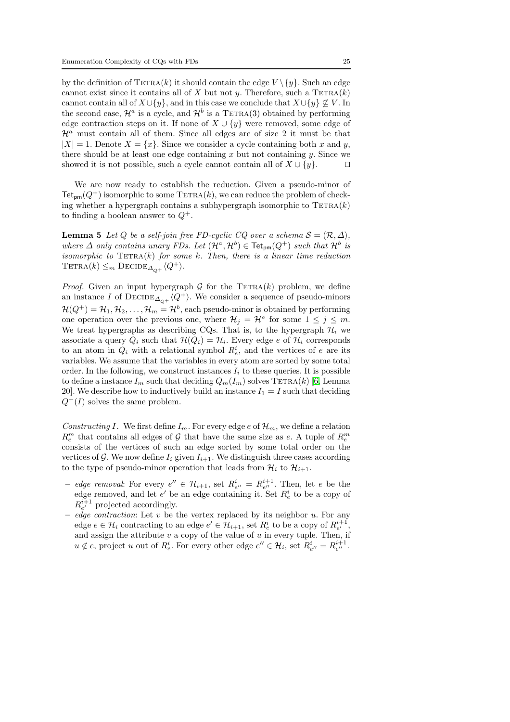by the definition of  $TETRA(k)$  it should contain the edge  $V \setminus \{y\}$ . Such an edge cannot exist since it contains all of X but not y. Therefore, such a  $TETRA(k)$ cannot contain all of  $X\cup \{y\}$ , and in this case we conclude that  $X\cup \{y\} \nsubseteq V$ . In the second case,  $\mathcal{H}^a$  is a cycle, and  $\mathcal{H}^b$  is a TETRA(3) obtained by performing edge contraction steps on it. If none of  $X \cup \{y\}$  were removed, some edge of  $\mathcal{H}^a$  must contain all of them. Since all edges are of size 2 it must be that  $|X| = 1$ . Denote  $X = \{x\}$ . Since we consider a cycle containing both x and y, there should be at least one edge containing  $x$  but not containing  $y$ . Since we showed it is not possible, such a cycle cannot contain all of  $X \cup \{y\}$ . □

We are now ready to establish the reduction. Given a pseudo-minor of  $\mathsf{Tet}_{\mathsf{pm}}(Q^+)$  isomorphic to some  $\mathsf{TETRA}(k)$ , we can reduce the problem of checking whether a hypergraph contains a subhypergraph isomorphic to  $TETRA(k)$ to finding a boolean answer to  $Q^+$ .

<span id="page-24-0"></span>**Lemma 5** Let Q be a self-join free FD-cyclic CQ over a schema  $S = (\mathcal{R}, \Delta)$ , where  $\Delta$  only contains unary FDs. Let  $(\mathcal{H}^a, \mathcal{H}^b) \in \textsf{ Tet}_{pm}(Q^+)$  such that  $\mathcal{H}^b$  is isomorphic to  $TETRA(k)$  for some k. Then, there is a linear time reduction TETRA $(k) \leq_m$  DECIDE<sub> $\Delta_{\Omega^+}\langle Q^+ \rangle$ .</sub>

*Proof.* Given an input hypergraph  $G$  for the TETRA(k) problem, we define an instance I of  $\text{DECIDE}_{\Delta_{\Omega^+}}\langle Q^+\rangle$ . We consider a sequence of pseudo-minors  $\mathcal{H}(Q^+) = \mathcal{H}_1, \mathcal{H}_2, \ldots, \mathcal{H}_m = \mathcal{H}^b$ , each pseudo-minor is obtained by performing one operation over the previous one, where  $\mathcal{H}_j = \mathcal{H}^a$  for some  $1 \leq j \leq m$ . We treat hypergraphs as describing CQs. That is, to the hypergraph  $\mathcal{H}_i$  we associate a query  $Q_i$  such that  $\mathcal{H}(Q_i) = \mathcal{H}_i$ . Every edge e of  $\mathcal{H}_i$  corresponds to an atom in  $Q_i$  with a relational symbol  $R_e^i$ , and the vertices of e are its variables. We assume that the variables in every atom are sorted by some total order. In the following, we construct instances  $I_i$  to these queries. It is possible to define a instance  $I_m$  such that deciding  $Q_m(I_m)$  solves TETRA(k) [\[6,](#page-34-2) Lemma 20. We describe how to inductively build an instance  $I_1 = I$  such that deciding  $Q^+(I)$  solves the same problem.

Constructing I. We first define  $I_m$ . For every edge e of  $\mathcal{H}_m$ , we define a relation  $R_{e}^{m}$  that contains all edges of  ${\mathcal G}$  that have the same size as  $e.$  A tuple of  $R_{e}^{m}$ consists of the vertices of such an edge sorted by some total order on the vertices of G. We now define  $I_i$  given  $I_{i+1}$ . We distinguish three cases according to the type of pseudo-minor operation that leads from  $\mathcal{H}_i$  to  $\mathcal{H}_{i+1}$ .

- edge removal: For every  $e'' \in \mathcal{H}_{i+1}$ , set  $R_{e''}^i = R_{e''}^{i+1}$ . Then, let e be the edge removed, and let  $e'$  be an edge containing it. Set  $R_e^i$  to be a copy of  $R_{e'}^{i+1}$  projected accordingly.
- edge contraction: Let  $v$  be the vertex replaced by its neighbor  $u$ . For any edge  $e \in \mathcal{H}_i$  contracting to an edge  $e' \in \mathcal{H}_{i+1}$ , set  $R_e^i$  to be a copy of  $R_{e'}^{i+1}$ , and assign the attribute  $v$  a copy of the value of  $u$  in every tuple. Then, if  $u \notin e$ , project u out of  $R_e^i$ . For every other edge  $e'' \in \mathcal{H}_i$ , set  $R_{e''}^i = R_{e''}^{i+1}$ .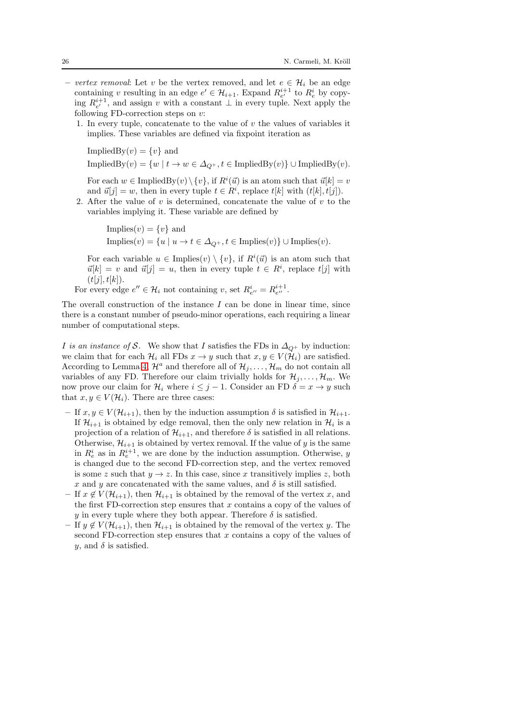- vertex removal: Let v be the vertex removed, and let  $e \in \mathcal{H}_i$  be an edge containing v resulting in an edge  $e' \in \mathcal{H}_{i+1}$ . Expand  $R_{e'}^{i+1}$  to  $R_e^i$  by copying  $R_{e'}^{i+1}$ , and assign v with a constant  $\perp$  in every tuple. Next apply the following FD-correction steps on  $v$ :
	- 1. In every tuple, concatenate to the value of  $v$  the values of variables it implies. These variables are defined via fixpoint iteration as

ImpliedBy $(v) = \{v\}$  and ImpliedBy $(v) = \{w \mid t \to w \in \Delta_{Q^+}, t \in \text{ImpliedBy}(v)\}\cup\text{ImpliedBy}(v).$ 

For each  $w \in \text{ImpliedBy}(v) \setminus \{v\}$ , if  $R^i(\vec{u})$  is an atom such that  $\vec{u}[k] = v$ and  $\vec{u}[j] = w$ , then in every tuple  $t \in R^i$ , replace  $t[k]$  with  $(t[k], t[j])$ .

2. After the value of  $v$  is determined, concatenate the value of  $v$  to the variables implying it. These variable are defined by

> Implies $(v) = \{v\}$  and Implies $(v) = \{u \mid u \to t \in \Delta_{Q^+}, t \in \text{Implies}(v)\} \cup \text{Implies}(v).$

For each variable  $u \in \text{Implies}(v) \setminus \{v\}$ , if  $R^i(\vec{u})$  is an atom such that  $\vec{u}[k] = v$  and  $\vec{u}[j] = u$ , then in every tuple  $t \in R^i$ , replace  $t[j]$  with  $(t[j], t[k])$ .

For every edge  $e'' \in \mathcal{H}_i$  not containing v, set  $R_{e''}^i = R_{e''}^{i+1}$ .

The overall construction of the instance  $I$  can be done in linear time, since there is a constant number of pseudo-minor operations, each requiring a linear number of computational steps.

I is an instance of S. We show that I satisfies the FDs in  $\Delta_{Q^+}$  by induction: we claim that for each  $\mathcal{H}_i$  all FDs  $x \to y$  such that  $x, y \in V(\mathcal{H}_i)$  are satisfied. According to Lemma [4,](#page-23-0)  $\mathcal{H}^a$  and therefore all of  $\mathcal{H}_j, \ldots, \mathcal{H}_m$  do not contain all variables of any FD. Therefore our claim trivially holds for  $\mathcal{H}_i, \ldots, \mathcal{H}_m$ . We now prove our claim for  $\mathcal{H}_i$  where  $i \leq j - 1$ . Consider an FD  $\delta = x \to y$  such that  $x, y \in V(\mathcal{H}_i)$ . There are three cases:

- If  $x, y \in V(\mathcal{H}_{i+1})$ , then by the induction assumption  $\delta$  is satisfied in  $\mathcal{H}_{i+1}$ . If  $\mathcal{H}_{i+1}$  is obtained by edge removal, then the only new relation in  $\mathcal{H}_i$  is a projection of a relation of  $\mathcal{H}_{i+1}$ , and therefore  $\delta$  is satisfied in all relations. Otherwise,  $\mathcal{H}_{i+1}$  is obtained by vertex removal. If the value of y is the same in  $R_e^i$  as in  $R_e^{i+1}$ , we are done by the induction assumption. Otherwise, y is changed due to the second FD-correction step, and the vertex removed is some z such that  $y \to z$ . In this case, since x transitively implies z, both x and y are concatenated with the same values, and  $\delta$  is still satisfied.
- If  $x \notin V(\mathcal{H}_{i+1})$ , then  $\mathcal{H}_{i+1}$  is obtained by the removal of the vertex x, and the first FD-correction step ensures that x contains a copy of the values of y in every tuple where they both appear. Therefore  $\delta$  is satisfied.
- If  $y \notin V(\mathcal{H}_{i+1})$ , then  $\mathcal{H}_{i+1}$  is obtained by the removal of the vertex y. The second FD-correction step ensures that  $x$  contains a copy of the values of y, and  $\delta$  is satisfied.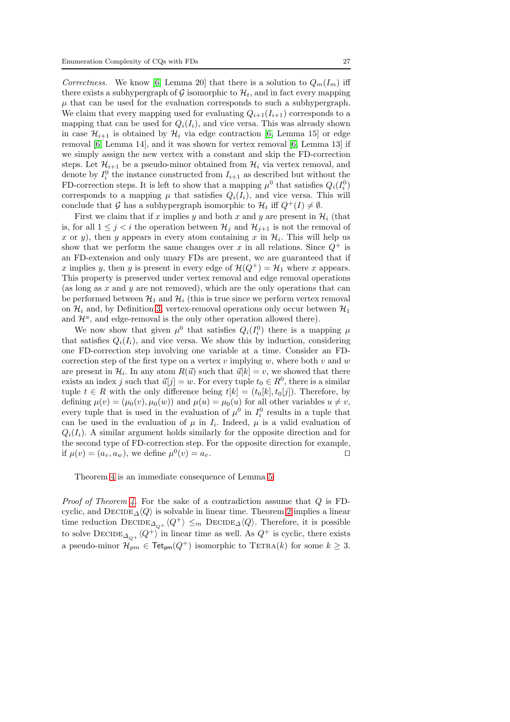Correctness. We know [\[6,](#page-34-2) Lemma 20] that there is a solution to  $Q_m(I_m)$  iff there exists a subhypergraph of G isomorphic to  $\mathcal{H}_t$ , and in fact every mapping  $\mu$  that can be used for the evaluation corresponds to such a subhypergraph. We claim that every mapping used for evaluating  $Q_{i+1}(I_{i+1})$  corresponds to a mapping that can be used for  $Q_i(I_i)$ , and vice versa. This was already shown in case  $\mathcal{H}_{i+1}$  is obtained by  $\mathcal{H}_i$  via edge contraction [\[6,](#page-34-2) Lemma 15] or edge removal [\[6,](#page-34-2) Lemma 14], and it was shown for vertex removal [\[6,](#page-34-2) Lemma 13] if we simply assign the new vertex with a constant and skip the FD-correction steps. Let  $\mathcal{H}_{i+1}$  be a pseudo-minor obtained from  $\mathcal{H}_i$  via vertex removal, and denote by  $I_i^0$  the instance constructed from  $I_{i+1}$  as described but without the FD-correction steps. It is left to show that a mapping  $\mu^0$  that satisfies  $Q_i(I_i^0)$ corresponds to a mapping  $\mu$  that satisfies  $Q_i(I_i)$ , and vice versa. This will conclude that G has a subhypergraph isomorphic to  $\mathcal{H}_t$  iff  $Q^+(I) \neq \emptyset$ .

First we claim that if x implies y and both x and y are present in  $\mathcal{H}_i$  (that is, for all  $1 \leq j < i$  the operation between  $\mathcal{H}_j$  and  $\mathcal{H}_{j+1}$  is not the removal of x or y), then y appears in every atom containing x in  $\mathcal{H}_i$ . This will help us show that we perform the same changes over x in all relations. Since  $Q^+$  is an FD-extension and only unary FDs are present, we are guaranteed that if x implies y, then y is present in every edge of  $\mathcal{H}(Q^+) = \mathcal{H}_1$  where x appears. This property is preserved under vertex removal and edge removal operations (as long as  $x$  and  $y$  are not removed), which are the only operations that can be performed between  $\mathcal{H}_1$  and  $\mathcal{H}_i$  (this is true since we perform vertex removal on  $\mathcal{H}_i$  and, by Definition [3,](#page-22-1) vertex-removal operations only occur between  $\mathcal{H}_1$ and  $\mathcal{H}^a$ , and edge-removal is the only other operation allowed there).

We now show that given  $\mu^0$  that satisfies  $Q_i(I_i^0)$  there is a mapping  $\mu$ that satisfies  $Q_i(I_i)$ , and vice versa. We show this by induction, considering one FD-correction step involving one variable at a time. Consider an FDcorrection step of the first type on a vertex  $v$  implying  $w$ , where both  $v$  and  $w$ are present in  $\mathcal{H}_i$ . In any atom  $R(\vec{u})$  such that  $\vec{u}[k] = v$ , we showed that there exists an index j such that  $\vec{u}[j] = w$ . For every tuple  $t_0 \in R^0$ , there is a similar tuple  $t \in R$  with the only difference being  $t[k] = (t_0[k], t_0[j])$ . Therefore, by defining  $\mu(v) = (\mu_0(v), \mu_0(w))$  and  $\mu(u) = \mu_0(u)$  for all other variables  $u \neq v$ , every tuple that is used in the evaluation of  $\mu^0$  in  $I_i^0$  results in a tuple that can be used in the evaluation of  $\mu$  in  $I_i$ . Indeed,  $\mu$  is a valid evaluation of  $Q_i(I_i)$ . A similar argument holds similarly for the opposite direction and for the second type of FD-correction step. For the opposite direction for example, if  $\mu(v) = (a_v, a_w)$ , we define  $\mu^0(v) = a_v$ .

Theorem [4](#page-22-2) is an immediate consequence of Lemma [5:](#page-24-0)

*Proof of Theorem [4.](#page-22-2)* For the sake of a contradiction assume that  $Q$  is FDcyclic, and  $\text{DECIDE}_{\Delta}\langle Q \rangle$  is solvable in linear time. Theorem [2](#page-10-0) implies a linear time reduction  $\text{DECIDE}_{\Delta_{\text{O}+}}\langle Q^+\rangle \leq_m \text{DECIDE}_{\Delta}\langle Q\rangle$ . Therefore, it is possible to solve  $\text{DECIDE}_{\Delta_{Q^+}}\langle Q^+\rangle$  in linear time as well. As  $Q^+$  is cyclic, there exists a pseudo-minor  $\mathcal{H}_{pm} \in \textsf{ Tet}_{pm}(Q^+)$  isomorphic to  $\text{TETRA}(k)$  for some  $k \geq 3$ .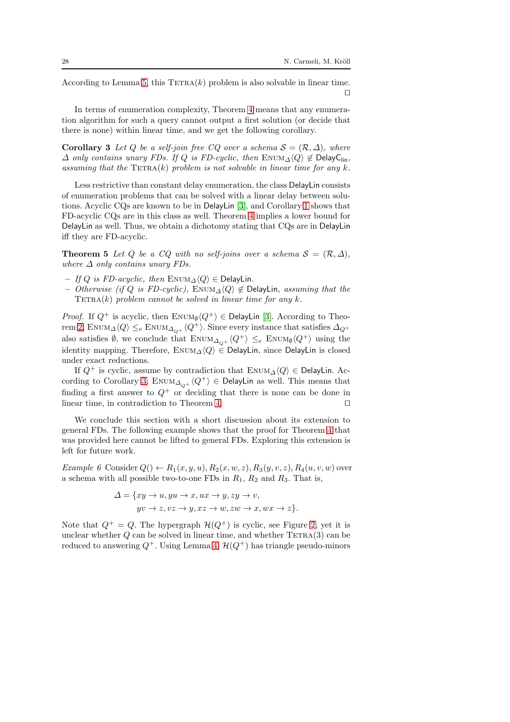According to Lemma [5,](#page-24-0) this  $TETRA(k)$  problem is also solvable in linear time. ⊓⊔

In terms of enumeration complexity, Theorem [4](#page-22-2) means that any enumeration algorithm for such a query cannot output a first solution (or decide that there is none) within linear time, and we get the following corollary.

<span id="page-27-0"></span>**Corollary 3** Let Q be a self-join free CQ over a schema  $S = (\mathcal{R}, \Delta)$ , where  $\Delta$  only contains unary FDs. If Q is FD-cyclic, then ENUM $\Delta \langle Q \rangle \notin$  DelayClin, assuming that the  $\text{TETRA}(k)$  problem is not solvable in linear time for any k.

Less restrictive than constant delay enumeration, the class DelayLin consists of enumeration problems that can be solved with a linear delay between solutions. Acyclic CQs are known to be in DelayLin [\[3\]](#page-34-0), and Corollary [1](#page-13-1) shows that FD-acyclic CQs are in this class as well. Theorem [4](#page-22-2) implies a lower bound for DelayLin as well. Thus, we obtain a dichotomy stating that CQs are in DelayLin iff they are FD-acyclic.

**Theorem 5** Let Q be a CQ with no self-joins over a schema  $S = (\mathcal{R}, \Delta)$ , where  $\Delta$  only contains unary FDs.

- If Q is FD-acyclic, then  $\text{EWUM}_\Delta\langle Q\rangle \in \text{DelayLin}.$
- Otherwise (if Q is FD-cyclic), ENUM $\triangle \langle Q \rangle \notin$  DelayLin, assuming that the  $TETRA(k)$  problem cannot be solved in linear time for any k.

*Proof.* If  $Q^+$  is acyclic, then ENUM<sub>0</sub> $\langle Q^+ \rangle \in$  DelayLin [\[3\]](#page-34-0). According to Theo-rem [2,](#page-10-0) ENUM $\Delta \langle Q \rangle \leq_e$  ENUM $\Delta_{Q^+} \langle Q^+ \rangle$ . Since every instance that satisfies  $\Delta_{Q^+}$ also satisfies  $\emptyset$ , we conclude that  $\text{ENUM}_{\Delta_{Q^+}}\langle Q^+\rangle \leq_e \text{ENUM}_{\emptyset}\langle Q^+\rangle$  using the identity mapping. Therefore,  $\text{EWM}_{\Delta}\langle Q \rangle \in$  DelayLin, since DelayLin is closed under exact reductions.

If  $Q^+$  is cyclic, assume by contradiction that ENUM $\Delta\langle Q \rangle \in$  DelayLin. Ac-cording to Corollary [3,](#page-27-0) ENUM<sub> $\Delta_{\Omega^+}\langle Q^+\rangle \in$  DelayLin as well. This means that</sub> finding a first answer to  $Q^+$  or deciding that there is none can be done in linear time, in contradiction to Theorem [4.](#page-22-2) ⊓⊔

We conclude this section with a short discussion about its extension to general FDs. The following example shows that the proof for Theorem [4](#page-22-2) that was provided here cannot be lifted to general FDs. Exploring this extension is left for future work.

<span id="page-27-1"></span>Example 6 Consider  $Q() \leftarrow R_1(x, y, u), R_2(x, w, z), R_3(y, v, z), R_4(u, v, w)$  over a schema with all possible two-to-one FDs in  $R_1$ ,  $R_2$  and  $R_3$ . That is,

$$
\Delta = \{xy \to u, yu \to x, ux \to y, zy \to v,
$$
  

$$
yv \to z, vz \to y, xz \to w, zw \to x, wx \to z\}.
$$

Note that  $Q^+ = Q$ . The hypergraph  $\mathcal{H}(Q^+)$  is cyclic, see Figure [2,](#page-28-1) yet it is unclear whether  $Q$  can be solved in linear time, and whether  $TETRA(3)$  can be reduced to answering  $Q^+$ . Using Lemma [4,](#page-23-0)  $\mathcal{H}(Q^+)$  has triangle pseudo-minors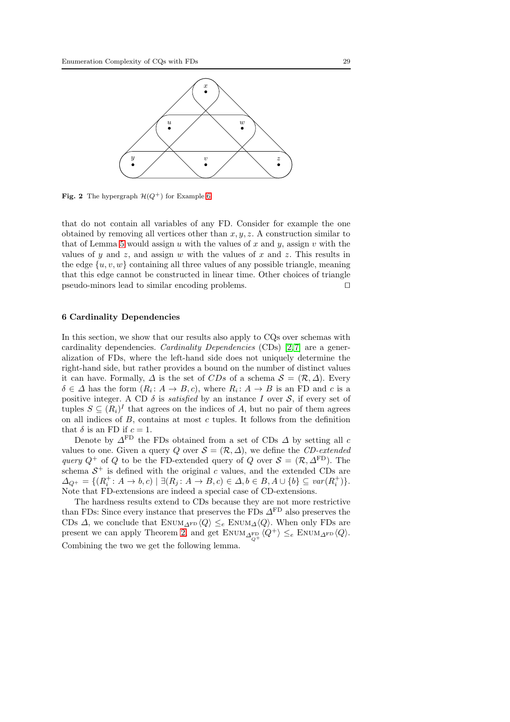

<span id="page-28-1"></span>**Fig. 2** The hypergraph  $\mathcal{H}(Q^+)$  for Example [6](#page-27-1)

that do not contain all variables of any FD. Consider for example the one obtained by removing all vertices other than  $x, y, z$ . A construction similar to that of Lemma [5](#page-24-0) would assign u with the values of x and y, assign v with the values of y and z, and assign w with the values of x and z. This results in the edge  $\{u, v, w\}$  containing all three values of any possible triangle, meaning that this edge cannot be constructed in linear time. Other choices of triangle pseudo-minors lead to similar encoding problems. ⊓⊔

#### <span id="page-28-0"></span>6 Cardinality Dependencies

In this section, we show that our results also apply to CQs over schemas with cardinality dependencies. Cardinality Dependencies (CDs) [2,7] are a generalization of FDs, where the left-hand side does not uniquely determine the right-hand side, but rather provides a bound on the number of distinct values it can have. Formally,  $\Delta$  is the set of CDs of a schema  $\mathcal{S} = (\mathcal{R}, \Delta)$ . Every  $\delta \in \Delta$  has the form  $(R_i: A \to B, c)$ , where  $R_i: A \to B$  is an FD and c is a positive integer. A CD  $\delta$  is *satisfied* by an instance I over S, if every set of tuples  $S \subseteq (R_i)^I$  that agrees on the indices of A, but no pair of them agrees on all indices of  $B$ , contains at most  $c$  tuples. It follows from the definition that  $\delta$  is an FD if  $c = 1$ .

Denote by  $\Delta^{\text{FD}}$  the FDs obtained from a set of CDs  $\Delta$  by setting all c values to one. Given a query Q over  $S = (\mathcal{R}, \Delta)$ , we define the CD-extended query  $Q^+$  of Q to be the FD-extended query of Q over  $S = (\mathcal{R}, \Delta^{\text{FD}})$ . The schema  $S^+$  is defined with the original c values, and the extended CDs are  $\Delta_{Q^+} = \{ (R_i^+ : A \to b, c) \mid \exists (R_j : A \to B, c) \in \Delta, b \in B, A \cup \{b\} \subseteq \mathit{var}(R_i^+)\}.$ Note that FD-extensions are indeed a special case of CD-extensions.

<span id="page-28-2"></span>The hardness results extend to CDs because they are not more restrictive than FDs: Since every instance that preserves the FDs  $\varDelta^{\mathrm{FD}}$  also preserves the CDs  $\Delta$ , we conclude that ENUM<sub> $\Delta$ FD</sub> $\langle Q \rangle \leq_e$  ENUM $\Delta \langle Q \rangle$ . When only FDs are present we can apply Theorem [2,](#page-10-0) and get  $\text{ENUM}_{\Delta_q^{\text{FD}}} \langle Q^+ \rangle \leq_e \text{ENUM}_{\Delta^{\text{FD}}} \langle Q \rangle.$ Combining the two we get the following lemma.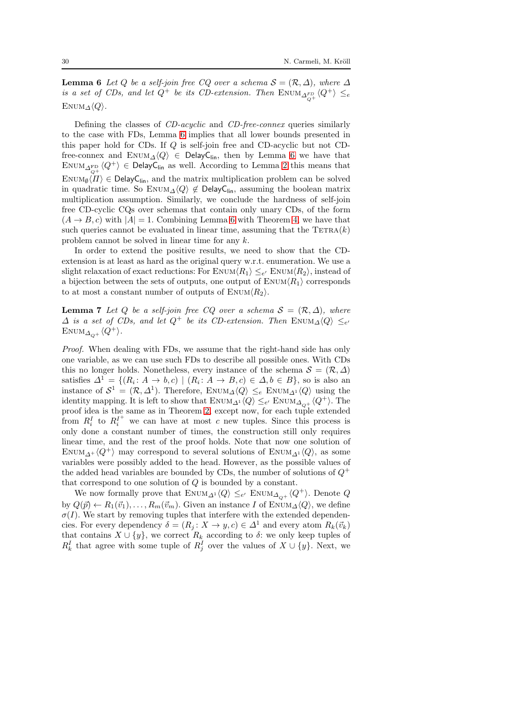**Lemma 6** Let Q be a self-join free CQ over a schema  $S = (\mathcal{R}, \Delta)$ , where  $\Delta$ is a set of CDs, and let  $Q^+$  be its CD-extension. Then  $\text{EWUM}_{\Delta_{Q^+}^{FD}}\langle Q^+\rangle \leq_e$ ENUM $\Delta \langle Q \rangle$ .

Defining the classes of *CD-acyclic* and *CD-free-connex* queries similarly to the case with FDs, Lemma [6](#page-28-2) implies that all lower bounds presented in this paper hold for CDs. If Q is self-join free and CD-acyclic but not CDfree-connex and ENUM<sub> $\Delta$ </sub> $\langle Q \rangle$  ∈ DelayC<sub>lin</sub>, then by Lemma [6](#page-28-2) we have that  $\mathrm{Env}_{\Delta_{Q^+}^\mathrm{FD}}\langle Q^+\rangle \, \in \, \mathsf{DelayC}_{\mathsf{lin}}$  as well. According to Lemma [2](#page-20-0) this means that  $\text{EWM}_{\emptyset}\langle\Pi\rangle \in \text{DelayC}_{\text{lin}}$ , and the matrix multiplication problem can be solved in quadratic time. So ENUM<sub> $\Delta$ </sub> $\langle Q \rangle \notin$  DelayC<sub>lin</sub>, assuming the boolean matrix multiplication assumption. Similarly, we conclude the hardness of self-join free CD-cyclic CQs over schemas that contain only unary CDs, of the form  $(A \rightarrow B, c)$  with  $|A| = 1$ . Combining Lemma [6](#page-28-2) with Theorem [4,](#page-22-2) we have that such queries cannot be evaluated in linear time, assuming that the  $TETRA(k)$ problem cannot be solved in linear time for any k.

In order to extend the positive results, we need to show that the CDextension is at least as hard as the original query w.r.t. enumeration. We use a slight relaxation of exact reductions: For  $\text{Enum}\langle R_1 \rangle \leq_{e'} \text{Enum}\langle R_2 \rangle$ , instead of a bijection between the sets of outputs, one output of  $\text{EWUM}\langle R_1 \rangle$  corresponds to at most a constant number of outputs of  $\text{EWUM}\langle R_2 \rangle$ .

<span id="page-29-0"></span>**Lemma 7** Let Q be a self-join free CQ over a schema  $S = (\mathcal{R}, \Delta)$ , where  $\Delta$  is a set of CDs, and let  $Q^+$  be its CD-extension. Then  $\text{EWUM}_{\Delta}\langle Q\rangle \leq_{e'}$ ENUM<sub> $\Delta_{\scriptscriptstyle O^+}\langle Q^+\rangle$ .</sub>

Proof. When dealing with FDs, we assume that the right-hand side has only one variable, as we can use such FDs to describe all possible ones. With CDs this no longer holds. Nonetheless, every instance of the schema  $\mathcal{S} = (\mathcal{R}, \Delta)$ satisfies  $\Delta^1 = \{(R_i: A \to b, c) \mid (R_i: A \to B, c) \in \Delta, b \in B\}$ , so is also an instance of  $S^1 = (\mathcal{R}, \Delta^1)$ . Therefore, ENUM<sub> $\Delta \langle Q \rangle \leq_e$  ENUM<sub> $\Delta^1 \langle Q \rangle$ </sub> using the</sub> identity mapping. It is left to show that  $\text{ENUM}_{\Delta^1}\langle Q \rangle \leq_{e'} \text{ENUM}_{\Delta_{Q^+}}\langle Q^+ \rangle$ . The proof idea is the same as in Theorem [2,](#page-10-0) except now, for each tuple extended from  $R_i^I$  to  $R_i^{I^+}$  we can have at most c new tuples. Since this process is only done a constant number of times, the construction still only requires linear time, and the rest of the proof holds. Note that now one solution of ENUM<sub> $\Lambda$ <sup>+</sup></sub>  $\langle Q^+ \rangle$  may correspond to several solutions of ENUM<sub> $\Lambda$ <sup>1</sup></sub> $\langle Q \rangle$ , as some variables were possibly added to the head. However, as the possible values of the added head variables are bounded by CDs, the number of solutions of  $Q^+$ that correspond to one solution of  $Q$  is bounded by a constant.

We now formally prove that  $\text{EWUM}_{\Delta^1}\langle Q \rangle \leq_{e'} \text{EWUM}_{\Delta_{Q^+}}\langle Q^+ \rangle$ . Denote  $Q$ by  $Q(\vec{p}) \leftarrow R_1(\vec{v}_1), \ldots, R_m(\vec{v}_m)$ . Given an instance I of ENUM $\Delta \langle Q \rangle$ , we define  $\sigma(I)$ . We start by removing tuples that interfere with the extended dependencies. For every dependency  $\delta = (R_i: X \to y, c) \in \Delta^1$  and every atom  $R_k(\vec{v}_k)$ that contains  $X \cup \{y\}$ , we correct  $R_k$  according to  $\delta$ : we only keep tuples of  $R_k^I$  that agree with some tuple of  $R_j^I$  over the values of  $X \cup \{y\}$ . Next, we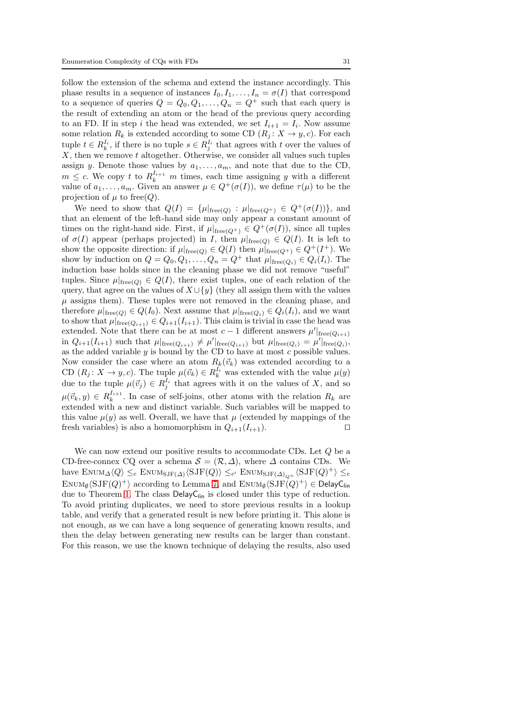follow the extension of the schema and extend the instance accordingly. This phase results in a sequence of instances  $I_0, I_1, \ldots, I_n = \sigma(I)$  that correspond to a sequence of queries  $Q = Q_0, Q_1, \ldots, Q_n = Q^+$  such that each query is the result of extending an atom or the head of the previous query according to an FD. If in step *i* the head was extended, we set  $I_{i+1} = I_i$ . Now assume some relation  $R_k$  is extended according to some CD  $(R_j: X \to y, c)$ . For each tuple  $t \in R_k^{I_i}$ , if there is no tuple  $s \in R_j^{I_i}$  that agrees with t over the values of  $X$ , then we remove t altogether. Otherwise, we consider all values such tuples assign y. Denote those values by  $a_1, \ldots, a_m$ , and note that due to the CD,  $m \leq c$ . We copy t to  $R_k^{I_{i+1}}$  m times, each time assigning y with a different value of  $a_1, \ldots, a_m$ . Given an answer  $\mu \in Q^+(\sigma(I))$ , we define  $\tau(\mu)$  to be the projection of  $\mu$  to free(*Q*).

We need to show that  $Q(I) = {\mu|_{\text{free}(Q)} : \mu|_{\text{free}(Q^+)} \in Q^+(\sigma(I)) }$ , and that an element of the left-hand side may only appear a constant amount of times on the right-hand side. First, if  $\mu|_{\text{free}(Q^+)} \in Q^+(\sigma(I))$ , since all tuples of  $\sigma(I)$  appear (perhaps projected) in I, then  $\mu|_{\text{free}(Q)} \in Q(I)$ . It is left to show the opposite direction: if  $\mu|_{\text{free}(Q)} \in Q(I)$  then  $\mu|_{\text{free}(Q^+)} \in Q^+(I^+)$ . We show by induction on  $Q = Q_0, Q_1, \ldots, Q_n = Q^+$  that  $\mu|_{\text{free}(Q_i)} \in Q_i(I_i)$ . The induction base holds since in the cleaning phase we did not remove "useful" tuples. Since  $\mu|_{\text{free}(Q)} \in Q(I)$ , there exist tuples, one of each relation of the query, that agree on the values of  $X \cup \{y\}$  (they all assign them with the values  $\mu$  assigns them). These tuples were not removed in the cleaning phase, and therefore  $\mu|_{\text{free}(Q)} \in Q(I_0)$ . Next assume that  $\mu|_{\text{free}(Q_i)} \in Q_i(I_i)$ , and we want to show that  $\mu|_{\text{free}(Q_{i+1})} \in Q_{i+1}(I_{i+1})$ . This claim is trivial in case the head was extended. Note that there can be at most  $c-1$  different answers  $\mu'|_{\text{free}(Q_{i+1})}$ in  $Q_{i+1}(I_{i+1})$  such that  $\mu|_{\text{free}(Q_{i+1})} \neq \mu'|_{\text{free}(Q_{i+1})}$  but  $\mu|_{\text{free}(Q_i)} = \mu'|_{\text{free}(Q_i)}$ , as the added variable  $y$  is bound by the CD to have at most  $c$  possible values. Now consider the case where an atom  $R_k(\vec{v}_k)$  was extended according to a CD  $(R_j: X \to y, c)$ . The tuple  $\mu(\vec{v}_k) \in R_k^{I_i}$  was extended with the value  $\mu(y)$ due to the tuple  $\mu(\vec{v}_j) \in R_j^{I_i}$  that agrees with it on the values of X, and so  $\mu(\vec{v}_k, y) \in R_k^{I_{i+1}}$ . In case of self-joins, other atoms with the relation  $R_k$  are extended with a new and distinct variable. Such variables will be mapped to this value  $\mu(y)$  as well. Overall, we have that  $\mu$  (extended by mappings of the fresh variables) is also a homomorphism in  $Q_{i+1}(I_{i+1})$ . □

We can now extend our positive results to accommodate CDs. Let  $Q$  be a CD-free-connex CQ over a schema  $S = (\mathcal{R}, \Delta)$ , where  $\Delta$  contains CDs. We have  $\text{Env}_{\Delta}\langle Q \rangle \leq_e \text{Env}_{\text{SJF}(\Delta)}\langle \text{SJF}(Q) \rangle \leq_{e'} \text{Env}_{\text{SJF}(\Delta)_{Q^+}}\langle \text{SJF}(Q)^+ \rangle \leq_e$  $\mathrm{Env}_{\emptyset} \langle \mathrm{SJF}(Q)^+ \rangle$  according to Lemma [7,](#page-29-0) and  $\mathrm{Env}_{\emptyset} \langle \mathrm{SJF}(Q)^+ \rangle \in \mathsf{DelayC}_{\mathsf{lin}}$ due to Theorem [1.](#page-8-2) The class  $\text{DelayC}_{\text{lin}}$  is closed under this type of reduction. To avoid printing duplicates, we need to store previous results in a lookup table, and verify that a generated result is new before printing it. This alone is not enough, as we can have a long sequence of generating known results, and then the delay between generating new results can be larger than constant. For this reason, we use the known technique of delaying the results, also used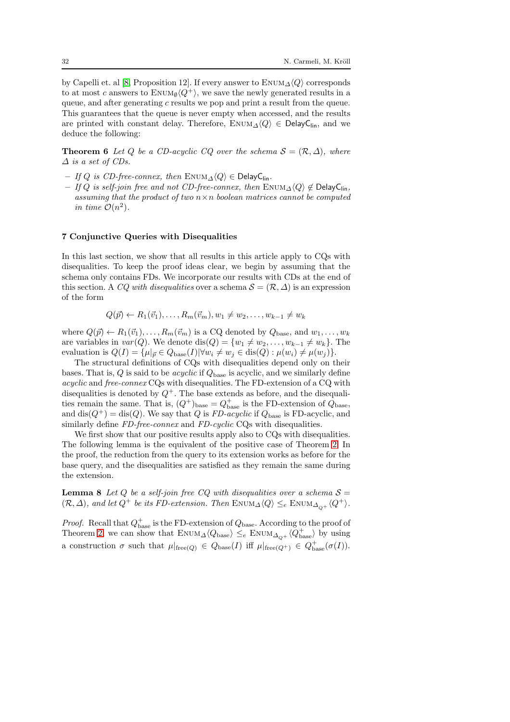by Capelli et. al [\[8,](#page-34-5) Proposition 12]. If every answer to  $\text{ENUM}_{\Delta}\langle Q \rangle$  corresponds to at most c answers to  $\text{ENUM}_{\emptyset}\langle Q^{+}\rangle$ , we save the newly generated results in a queue, and after generating  $c$  results we pop and print a result from the queue. This guarantees that the queue is never empty when accessed, and the results are printed with constant delay. Therefore,  $\text{Enum}_{\Delta}\langle Q \rangle \in \text{DelayC}_{\text{lin}}$ , and we deduce the following:

**Theorem 6** Let Q be a CD-acyclic CQ over the schema  $S = (\mathcal{R}, \Delta)$ , where  $\Delta$  is a set of CDs.

- If Q is CD-free-connex, then ENUM $\Delta \langle Q \rangle$  ∈ DelayC<sub>lin</sub>.
- If Q is self-join free and not CD-free-connex, then  $\text{ENUM}_\Delta\langle Q\rangle \notin \text{DelayC}_{\text{lin}}$ , assuming that the product of two  $n \times n$  boolean matrices cannot be computed in time  $\mathcal{O}(n^2)$ .

#### <span id="page-31-0"></span>7 Conjunctive Queries with Disequalities

In this last section, we show that all results in this article apply to CQs with disequalities. To keep the proof ideas clear, we begin by assuming that the schema only contains FDs. We incorporate our results with CDs at the end of this section. A CQ with disequalities over a schema  $\mathcal{S} = (\mathcal{R}, \Delta)$  is an expression of the form

 $Q(\vec{p}) \leftarrow R_1(\vec{v}_1), \dots, R_m(\vec{v}_m), w_1 \neq w_2, \dots, w_{k-1} \neq w_k$ 

where  $Q(\vec{p}) \leftarrow R_1(\vec{v}_1), \ldots, R_m(\vec{v}_m)$  is a CQ denoted by  $Q_{base}$ , and  $w_1, \ldots, w_k$ are variables in  $var(Q)$ . We denote dis $(Q) = \{w_1 \neq w_2, \ldots, w_{k-1} \neq w_k\}$ . The evaluation is  $Q(I) = \{\mu | \vec{v} \in Q_{base}(I) | \forall w_i \neq w_j \in \text{dis}(Q) : \mu(w_i) \neq \mu(w_j) \}.$ 

The structural definitions of CQs with disequalities depend only on their bases. That is,  $Q$  is said to be *acyclic* if  $Q_{base}$  is acyclic, and we similarly define acyclic and free-connex CQs with disequalities. The FD-extension of a CQ with disequalities is denoted by  $Q^+$ . The base extends as before, and the disequalities remain the same. That is,  $(Q^+)_{\text{base}} = Q^+_{\text{base}}$  is the FD-extension of  $Q_{\text{base}}$ , and  $dis(Q^+) = dis(Q)$ . We say that Q is FD-acyclic if  $Q_{base}$  is FD-acyclic, and similarly define FD-free-connex and FD-cyclic CQs with disequalities.

We first show that our positive results apply also to CQs with disequalities. The following lemma is the equivalent of the positive case of Theorem [2.](#page-10-0) In the proof, the reduction from the query to its extension works as before for the base query, and the disequalities are satisfied as they remain the same during the extension.

<span id="page-31-1"></span>**Lemma 8** Let Q be a self-join free CQ with disequalities over a schema  $S =$  $(\mathcal{R}, \Delta)$ , and let  $Q^+$  be its FD-extension. Then  $\text{EWIM}_{\Delta\setminus Q}\langle Q\rangle \leq_e \text{EWIM}_{\Delta_{\Omega^+}}\langle Q^+\rangle$ .

*Proof.* Recall that  $Q_{base}^+$  is the FD-extension of  $Q_{base}$ . According to the proof of Theorem [2,](#page-10-0) we can show that  $\text{ENUM}_{\Delta}\langle Q_{\text{base}} \rangle \leq_e \text{ENUM}_{\Delta_{Q^+}}\langle Q_{\text{base}}^+ \rangle$  by using a construction  $\sigma$  such that  $\mu|_{\text{free}(Q)} \in Q_{\text{base}}(I)$  iff  $\mu|_{\text{free}(Q^+)} \in Q_{\text{base}}^+(\sigma(I)).$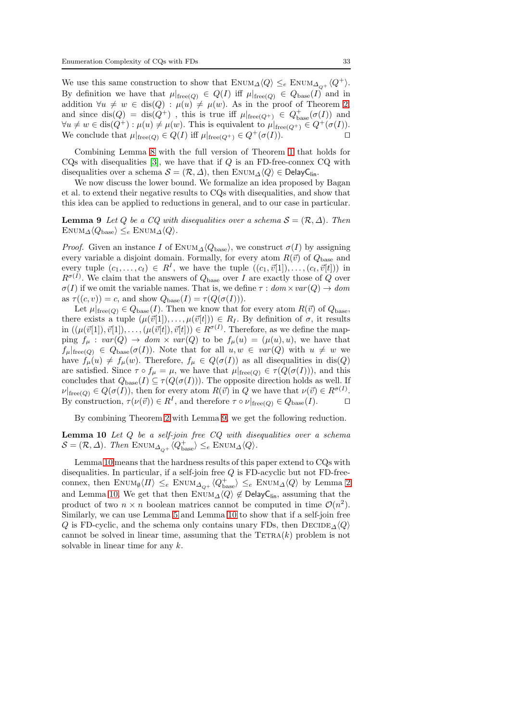We use this same construction to show that  $\text{EWUM}_{\Delta}\langle Q \rangle \leq_e \text{EWUM}_{\Delta_{Q+}}\langle Q^+\rangle.$ By definition we have that  $\mu|_{\text{free}(Q)} \in Q(I)$  iff  $\mu|_{\text{free}(Q)} \in Q_{\text{base}}(I)$  and in addition  $\forall u \neq w \in \text{dis}(Q) : \mu(u) \neq \mu(w)$ . As in the proof of Theorem [2,](#page-10-0) and since  $dis(Q) = dis(Q^+)$ , this is true iff  $\mu|_{\text{free}(Q^+)} \in Q^+_{\text{base}}(\sigma(I))$  and  $\forall u \neq w \in \text{dis}(Q^+): \mu(u) \neq \mu(w)$ . This is equivalent to  $\mu|_{\text{free}(Q^+)} \in Q^+(\sigma(I))$ .<br>We conclude that  $\mu|_{\text{free}(Q)} \in O(I)$  iff  $\mu|_{\text{free}(Q^+)} \in O^+(\sigma(I))$ . We conclude that  $\mu|_{\text{free}(Q)} \in Q(I)$  iff  $\mu|_{\text{free}(Q^+)} \in Q^+(\sigma(I)).$ 

Combining Lemma [8](#page-31-1) with the full version of Theorem [1](#page-8-2) that holds for  $CQs$  with disequalities [\[3\]](#page-34-0), we have that if  $Q$  is an FD-free-connex  $CQ$  with disequalities over a schema  $S = (\mathcal{R}, \Delta)$ , then ENUM $\Delta \langle Q \rangle \in$  DelayC<sub>lin</sub>.

We now discuss the lower bound. We formalize an idea proposed by Bagan et al. to extend their negative results to CQs with disequalities, and show that this idea can be applied to reductions in general, and to our case in particular.

<span id="page-32-0"></span>**Lemma 9** Let Q be a CQ with disequalities over a schema  $S = (\mathcal{R}, \Delta)$ . Then  $\text{ENUM}_{\Delta}\langle Q_{\text{base}}\rangle \leq_e \text{ENUM}_{\Delta}\langle Q\rangle.$ 

*Proof.* Given an instance I of ENUM<sub> $\Delta$ </sub> $\langle Q_{\text{base}} \rangle$ , we construct  $\sigma(I)$  by assigning every variable a disjoint domain. Formally, for every atom  $R(\vec{v})$  of  $Q_{base}$  and every tuple  $(c_1, \ldots, c_t) \in R^I$ , we have the tuple  $((c_1, \vec{v}[1]), \ldots, (c_t, \vec{v}[t]))$  in  $R^{\sigma(I)}$ . We claim that the answers of  $Q_{base}$  over I are exactly those of Q over  $\sigma(I)$  if we omit the variable names. That is, we define  $\tau : dom \times var(Q) \to dom$ as  $\tau((c, v)) = c$ , and show  $Q_{base}(I) = \tau(Q(\sigma(I))).$ 

Let  $\mu|_{\text{free}(Q)} \in Q_{\text{base}}(I)$ . Then we know that for every atom  $R(\vec{v})$  of  $Q_{\text{base}}$ , there exists a tuple  $(\mu(\vec{v}[1]), \ldots, \mu(\vec{v}[t])) \in R_I$ . By definition of  $\sigma$ , it results in  $((\mu(\vec{v}[1]), \vec{v}[1]), \ldots, (\mu(\vec{v}[t]), \vec{v}[t])) \in R^{\sigma(I)}$ . Therefore, as we define the mapping  $f_{\mu}: var(Q) \to dom \times var(Q)$  to be  $f_{\mu}(u) = (\mu(u), u)$ , we have that  $f_{\mu}|_{\text{free}(Q)} \in Q_{\text{base}}(\sigma(I)).$  Note that for all  $u, w \in \text{var}(Q)$  with  $u \neq w$  we have  $f_{\mu}(u) \neq f_{\mu}(w)$ . Therefore,  $f_{\mu} \in Q(\sigma(I))$  as all disequalities in dis(Q) are satisfied. Since  $\tau \circ f_{\mu} = \mu$ , we have that  $\mu|_{\text{free}(Q)} \in \tau(Q(\sigma(I))),$  and this concludes that  $Q_{base}(I) \subseteq \tau(Q(\sigma(I)))$ . The opposite direction holds as well. If  $\nu|_{\text{free}(Q)} \in Q(\sigma(I)),$  then for every atom  $R(\vec{v})$  in Q we have that  $\nu(\vec{v}) \in R^{\sigma(I)}$ . By construction,  $\tau(\nu(\vec{v})) \in R^I$ , and therefore  $\tau \circ \nu|_{\text{free}(Q)} \in Q_{\text{base}}(I)$ . □

<span id="page-32-1"></span>By combining Theorem [2](#page-10-0) with Lemma [9,](#page-32-0) we get the following reduction.

Lemma  $10$  Let  $Q$  be a self-join free  $CQ$  with disequalities over a schema  $\mathcal{S} = (\mathcal{R}, \Delta)$ . Then  $\text{Enum}_{\Delta_{Q^+}}\langle Q_{\text{base}}^+\rangle \leq_e \text{Enum}_{\Delta}\langle Q\rangle$ .

Lemma [10](#page-32-1) means that the hardness results of this paper extend to CQs with disequalities. In particular, if a self-join free  $Q$  is FD-acyclic but not FD-freeconnex, then  $\text{EnvM}_{\emptyset} \langle \Pi \rangle \leq_e \text{EnvM}_{\Delta_{Q^+}} \langle Q_{\text{base}}^+ \rangle \leq_e \text{EnvM}_{\Delta} \langle Q \rangle$  by Lemma [2](#page-20-0) and Lemma [10.](#page-32-1) We get that then  $\text{Enum}_{\Delta}\langle Q \rangle \notin \text{DelayC}_{\text{lin}}$ , assuming that the product of two  $n \times n$  boolean matrices cannot be computed in time  $\mathcal{O}(n^2)$ . Similarly, we can use Lemma [5](#page-24-0) and Lemma [10](#page-32-1) to show that if a self-join free Q is FD-cyclic, and the schema only contains unary FDs, then  $\text{DECIDE}_{\Delta}\langle Q \rangle$ cannot be solved in linear time, assuming that the  $TETRA(k)$  problem is not solvable in linear time for any  $k$ .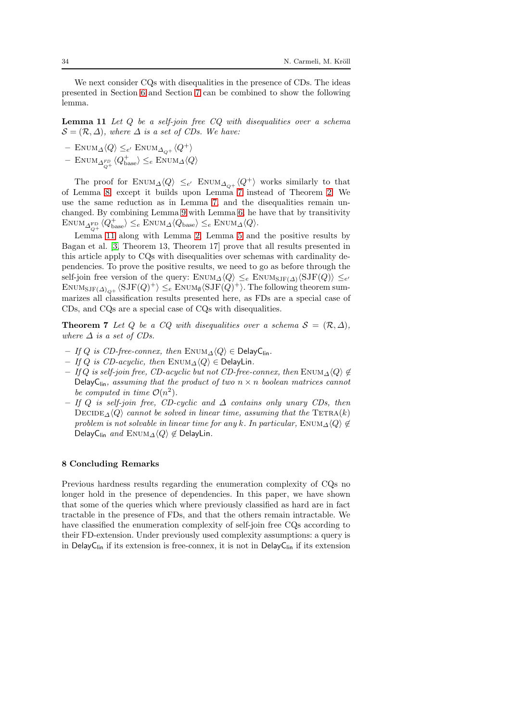<span id="page-33-1"></span>We next consider CQs with disequalities in the presence of CDs. The ideas presented in Section [6](#page-28-0) and Section [7](#page-31-0) can be combined to show the following lemma.

**Lemma 11** Let  $Q$  be a self-join free  $CQ$  with disequalities over a schema  $S = (\mathcal{R}, \Delta)$ , where  $\Delta$  is a set of CDs. We have:

- − ENUM<sub>Δ</sub> $\langle Q \rangle$  ≤<sub>e'</sub> ENUM<sub>Δ<sub>Q+</sub></sub> $\langle Q^+ \rangle$
- $-$  ENUM<sub>Δ<sup>FD</sup></sub>  $\langle Q_{\text{base}}^{\dagger} \rangle \leq_e$  ENUM<sub>Δ</sub> $\langle Q \rangle$

The proof for  $\text{Enum}_{\Delta}\langle Q\rangle \leq_{e'} \text{Enum}_{\Delta_{Q+}}\langle Q^+\rangle$  works similarly to that of Lemma [8,](#page-31-1) except it builds upon Lemma [7](#page-29-0) instead of Theorem [2.](#page-10-0) We use the same reduction as in Lemma [7,](#page-29-0) and the disequalities remain unchanged. By combining Lemma [9](#page-32-0) with Lemma [6,](#page-28-2) he have that by transitivity  $\text{ENUM}_{\Delta_{Q^+}^{\text{FD}}} \langle Q_{\text{base}}^+ \rangle \leq_e \text{ENUM}_{\Delta} \langle Q_{\text{base}} \rangle \leq_e \text{ENUM}_{\Delta} \langle Q \rangle.$ 

Lemma [11](#page-33-1) along with Lemma [2,](#page-20-0) Lemma [5](#page-24-0) and the positive results by Bagan et al. [\[3,](#page-34-0) Theorem 13, Theorem 17] prove that all results presented in this article apply to CQs with disequalities over schemas with cardinality dependencies. To prove the positive results, we need to go as before through the self-join free version of the query:  $\text{EWUM}_{\Delta}\langle Q \rangle \leq_e \text{EWUM}_{\text{SJF}(\Delta)}\langle \text{SJF}(Q) \rangle \leq_{e'}$  $\text{Env}_{\text{SJF}(\Delta)_{Q^+}}\langle \text{SJF}(Q)^+\rangle \leq_e \text{Env}_{\emptyset} \langle \text{SJF}(Q)^+\rangle$ . The following theorem summarizes all classification results presented here, as FDs are a special case of CDs, and CQs are a special case of CQs with disequalities.

**Theorem 7** Let Q be a CQ with disequalities over a schema  $S = (\mathcal{R}, \Delta)$ , where  $\Delta$  is a set of CDs.

- If Q is CD-free-connex, then  $\text{ENUM}_\Delta\langle Q\rangle \in \text{DelayC}_{\text{lin}}$ .
- If Q is CD-acyclic, then ENUM $\triangle \langle Q \rangle$  ∈ DelayLin.
- If Q is self-join free, CD-acyclic but not CD-free-connex, then ENUM $\triangle \langle Q \rangle \notin$ DelayC<sub>lin</sub>, assuming that the product of two  $n \times n$  boolean matrices cannot be computed in time  $\mathcal{O}(n^2)$ .
- If Q is self-join free, CD-cyclic and ∆ contains only unary CDs, then  $\text{DECIDE}_{\Delta}\langle Q \rangle$  cannot be solved in linear time, assuming that the TETRA(k) problem is not solvable in linear time for any k. In particular,  $\text{EWM}_{\Delta}\langle Q \rangle \notin$ DelayC<sub>lin</sub> and ENUM<sub> $\Delta$ </sub> $\langle Q \rangle \notin$  DelayLin.

## <span id="page-33-0"></span>8 Concluding Remarks

Previous hardness results regarding the enumeration complexity of CQs no longer hold in the presence of dependencies. In this paper, we have shown that some of the queries which where previously classified as hard are in fact tractable in the presence of FDs, and that the others remain intractable. We have classified the enumeration complexity of self-join free CQs according to their FD-extension. Under previously used complexity assumptions: a query is in DelayC<sub>lin</sub> if its extension is free-connex, it is not in DelayC<sub>lin</sub> if its extension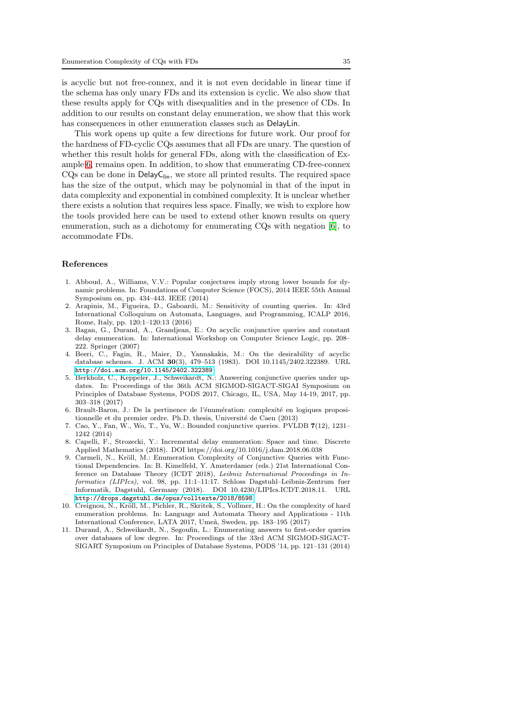is acyclic but not free-connex, and it is not even decidable in linear time if the schema has only unary FDs and its extension is cyclic. We also show that these results apply for CQs with disequalities and in the presence of CDs. In addition to our results on constant delay enumeration, we show that this work has consequences in other enumeration classes such as DelayLin.

This work opens up quite a few directions for future work. Our proof for the hardness of FD-cyclic CQs assumes that all FDs are unary. The question of whether this result holds for general FDs, along with the classification of Example [6,](#page-27-1) remains open. In addition, to show that enumerating CD-free-connex  $CQs$  can be done in Delay $C<sub>lin</sub>$ , we store all printed results. The required space has the size of the output, which may be polynomial in that of the input in data complexity and exponential in combined complexity. It is unclear whether there exists a solution that requires less space. Finally, we wish to explore how the tools provided here can be used to extend other known results on query enumeration, such as a dichotomy for enumerating CQs with negation [\[6\]](#page-34-2), to accommodate FDs.

#### References

- <span id="page-34-4"></span>1. Abboud, A., Williams, V.V.: Popular conjectures imply strong lower bounds for dynamic problems. In: Foundations of Computer Science (FOCS), 2014 IEEE 55th Annual Symposium on, pp. 434–443. IEEE (2014)
- 2. Arapinis, M., Figueira, D., Gaboardi, M.: Sensitivity of counting queries. In: 43rd International Colloquium on Automata, Languages, and Programming, ICALP 2016, Rome, Italy, pp. 120:1–120:13 (2016)
- <span id="page-34-0"></span>3. Bagan, G., Durand, A., Grandjean, E.: On acyclic conjunctive queries and constant delay enumeration. In: International Workshop on Computer Science Logic, pp. 208– 222. Springer (2007)
- 4. Beeri, C., Fagin, R., Maier, D., Yannakakis, M.: On the desirability of acyclic database schemes. J. ACM 30(3), 479–513 (1983). DOI 10.1145/2402.322389. URL <http://doi.acm.org/10.1145/2402.322389>
- 5. Berkholz, C., Keppeler, J., Schweikardt, N.: Answering conjunctive queries under updates. In: Proceedings of the 36th ACM SIGMOD-SIGACT-SIGAI Symposium on Principles of Database Systems, PODS 2017, Chicago, IL, USA, May 14-19, 2017, pp. 303–318 (2017)
- <span id="page-34-2"></span>6. Brault-Baron, J.: De la pertinence de l'énumération: complexité en logiques propositionnelle et du premier ordre. Ph.D. thesis, Université de Caen (2013)
- 7. Cao, Y., Fan, W., Wo, T., Yu, W.: Bounded conjunctive queries. PVLDB 7(12), 1231– 1242 (2014)
- <span id="page-34-5"></span>8. Capelli, F., Strozecki, Y.: Incremental delay enumeration: Space and time. Discrete Applied Mathematics (2018). DOI https://doi.org/10.1016/j.dam.2018.06.038
- <span id="page-34-3"></span>9. Carmeli, N., Kröll, M.: Enumeration Complexity of Conjunctive Queries with Functional Dependencies. In: B. Kimelfeld, Y. Amsterdamer (eds.) 21st International Conference on Database Theory (ICDT 2018), Leibniz International Proceedings in Informatics (LIPIcs), vol. 98, pp. 11:1–11:17. Schloss Dagstuhl–Leibniz-Zentrum fuer Informatik, Dagstuhl, Germany (2018). DOI 10.4230/LIPIcs.ICDT.2018.11. URL <http://drops.dagstuhl.de/opus/volltexte/2018/8598>
- 10. Creignou, N., Kröll, M., Pichler, R., Skritek, S., Vollmer, H.: On the complexity of hard enumeration problems. In: Language and Automata Theory and Applications - 11th International Conference, LATA 2017, Umeå, Sweden, pp. 183–195 (2017)
- <span id="page-34-1"></span>11. Durand, A., Schweikardt, N., Segoufin, L.: Enumerating answers to first-order queries over databases of low degree. In: Proceedings of the 33rd ACM SIGMOD-SIGACT-SIGART Symposium on Principles of Database Systems, PODS '14, pp. 121–131 (2014)